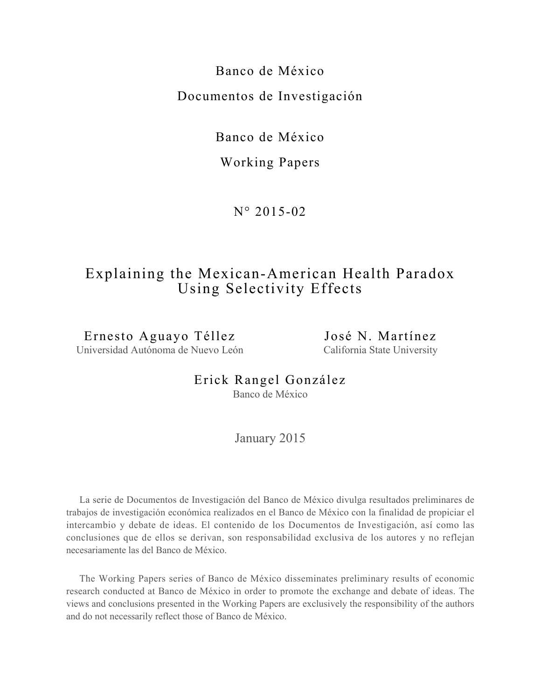Banco de México Documentos de Investigación

Banco de México

Working Papers

N° 2015-02

# Explaining the Mexican-American Health Paradox Using Selectivity Effects

Ernesto Aguayo Téllez Universidad Autónoma de Nuevo León José N. Martínez California State University

Erick Rangel González Banco de México

January 2015

La serie de Documentos de Investigación del Banco de México divulga resultados preliminares de trabajos de investigación económica realizados en el Banco de México con la finalidad de propiciar el intercambio y debate de ideas. El contenido de los Documentos de Investigación, así como las conclusiones que de ellos se derivan, son responsabilidad exclusiva de los autores y no reflejan necesariamente las del Banco de México.

The Working Papers series of Banco de México disseminates preliminary results of economic research conducted at Banco de México in order to promote the exchange and debate of ideas. The views and conclusions presented in the Working Papers are exclusively the responsibility of the authors and do not necessarily reflect those of Banco de México.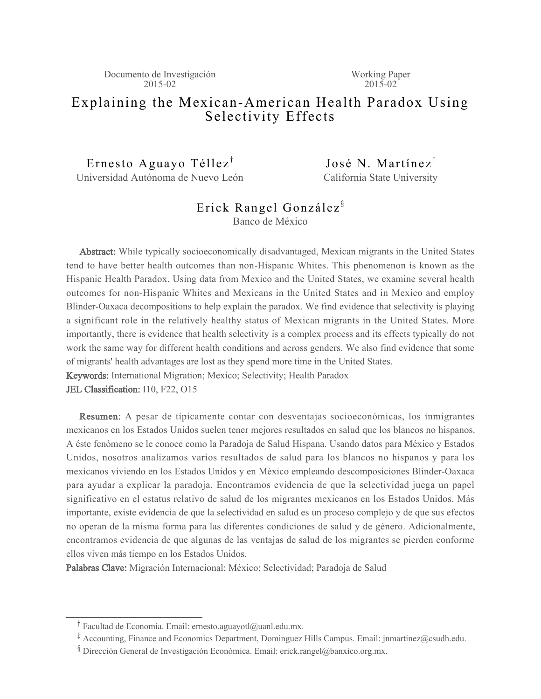Working Paper  $2015 - 02$ 

# Explaining the Mexican-American Health Paradox Using Selectivity Effects

Ernesto Aguayo Téllez<sup>†</sup>

Universidad Autónoma de Nuevo León

José N. Martínez $^{\ddagger}$ California State University

# Erick Rangel González<sup>§</sup>

Banco de México

Abstract: While typically socioeconomically disadvantaged, Mexican migrants in the United States tend to have better health outcomes than non-Hispanic Whites. This phenomenon is known as the Hispanic Health Paradox. Using data from Mexico and the United States, we examine several health outcomes for non-Hispanic Whites and Mexicans in the United States and in Mexico and employ Blinder-Oaxaca decompositions to help explain the paradox. We find evidence that selectivity is playing a significant role in the relatively healthy status of Mexican migrants in the United States. More importantly, there is evidence that health selectivity is a complex process and its effects typically do not work the same way for different health conditions and across genders. We also find evidence that some of migrants' health advantages are lost as they spend more time in the United States. Keywords: International Migration; Mexico; Selectivity; Health Paradox

JEL Classification: I10, F22, O15

Resumen: A pesar de típicamente contar con desventajas socioeconómicas, los inmigrantes mexicanos en los Estados Unidos suelen tener mejores resultados en salud que los blancos no hispanos. A éste fenómeno se le conoce como la Paradoja de Salud Hispana. Usando datos para México y Estados Unidos, nosotros analizamos varios resultados de salud para los blancos no hispanos y para los mexicanos viviendo en los Estados Unidos y en México empleando descomposiciones Blinder-Oaxaca para ayudar a explicar la paradoja. Encontramos evidencia de que la selectividad juega un papel significativo en el estatus relativo de salud de los migrantes mexicanos en los Estados Unidos. Más importante, existe evidencia de que la selectividad en salud es un proceso complejo y de que sus efectos no operan de la misma forma para las diferentes condiciones de salud y de género. Adicionalmente, encontramos evidencia de que algunas de las ventajas de salud de los migrantes se pierden conforme ellos viven más tiempo en los Estados Unidos.

Palabras Clave: Migración Internacional; México; Selectividad; Paradoja de Salud

<sup>&</sup>lt;sup>T</sup> Facultad de Economía. Email: ernesto.aguayotl@uanl.edu.mx.

<sup>&</sup>lt;sup>‡</sup> Accounting, Finance and Economics Department, Dominguez Hills Campus. Email: jnmartinez@csudh.edu.

x Dirección General de Investigación Económica. Email: erick.rangel@banxico.org.mx.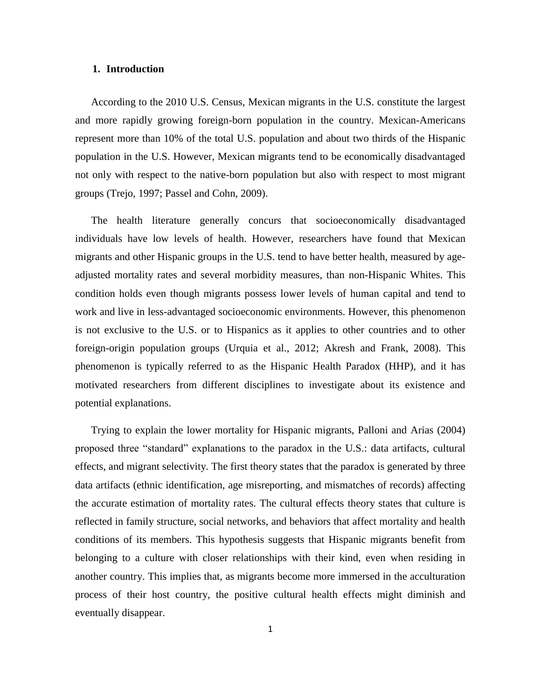#### **1. Introduction**

According to the 2010 U.S. Census, Mexican migrants in the U.S. constitute the largest and more rapidly growing foreign-born population in the country. Mexican-Americans represent more than 10% of the total U.S. population and about two thirds of the Hispanic population in the U.S. However, Mexican migrants tend to be economically disadvantaged not only with respect to the native-born population but also with respect to most migrant groups (Trejo, 1997; Passel and Cohn, 2009).

The health literature generally concurs that socioeconomically disadvantaged individuals have low levels of health. However, researchers have found that Mexican migrants and other Hispanic groups in the U.S. tend to have better health, measured by ageadjusted mortality rates and several morbidity measures, than non-Hispanic Whites. This condition holds even though migrants possess lower levels of human capital and tend to work and live in less-advantaged socioeconomic environments. However, this phenomenon is not exclusive to the U.S. or to Hispanics as it applies to other countries and to other foreign-origin population groups (Urquia et al., 2012; Akresh and Frank, 2008). This phenomenon is typically referred to as the Hispanic Health Paradox (HHP), and it has motivated researchers from different disciplines to investigate about its existence and potential explanations.

Trying to explain the lower mortality for Hispanic migrants, Palloni and Arias (2004) proposed three "standard" explanations to the paradox in the U.S.: data artifacts, cultural effects, and migrant selectivity. The first theory states that the paradox is generated by three data artifacts (ethnic identification, age misreporting, and mismatches of records) affecting the accurate estimation of mortality rates. The cultural effects theory states that culture is reflected in family structure, social networks, and behaviors that affect mortality and health conditions of its members. This hypothesis suggests that Hispanic migrants benefit from belonging to a culture with closer relationships with their kind, even when residing in another country. This implies that, as migrants become more immersed in the acculturation process of their host country, the positive cultural health effects might diminish and eventually disappear.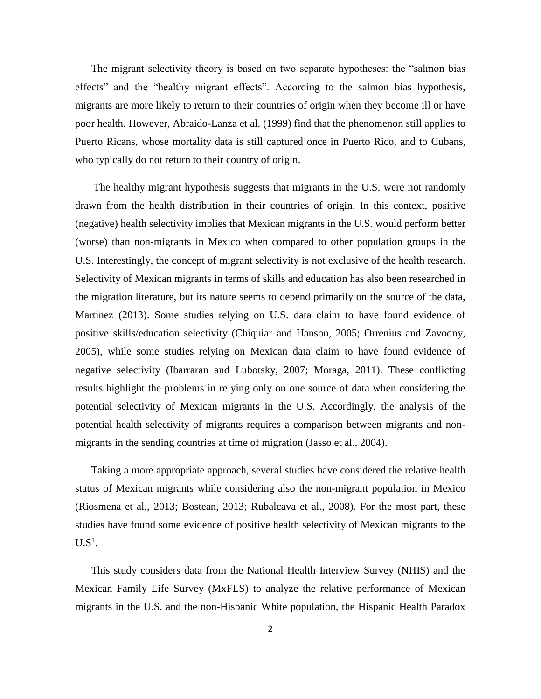The migrant selectivity theory is based on two separate hypotheses: the "salmon bias effects" and the "healthy migrant effects". According to the salmon bias hypothesis, migrants are more likely to return to their countries of origin when they become ill or have poor health. However, Abraido-Lanza et al. (1999) find that the phenomenon still applies to Puerto Ricans, whose mortality data is still captured once in Puerto Rico, and to Cubans, who typically do not return to their country of origin.

The healthy migrant hypothesis suggests that migrants in the U.S. were not randomly drawn from the health distribution in their countries of origin. In this context, positive (negative) health selectivity implies that Mexican migrants in the U.S. would perform better (worse) than non-migrants in Mexico when compared to other population groups in the U.S. Interestingly, the concept of migrant selectivity is not exclusive of the health research. Selectivity of Mexican migrants in terms of skills and education has also been researched in the migration literature, but its nature seems to depend primarily on the source of the data, Martinez (2013). Some studies relying on U.S. data claim to have found evidence of positive skills/education selectivity (Chiquiar and Hanson, 2005; Orrenius and Zavodny, 2005), while some studies relying on Mexican data claim to have found evidence of negative selectivity (Ibarraran and Lubotsky, 2007; Moraga, 2011). These conflicting results highlight the problems in relying only on one source of data when considering the potential selectivity of Mexican migrants in the U.S. Accordingly, the analysis of the potential health selectivity of migrants requires a comparison between migrants and nonmigrants in the sending countries at time of migration (Jasso et al., 2004).

Taking a more appropriate approach, several studies have considered the relative health status of Mexican migrants while considering also the non-migrant population in Mexico (Riosmena et al., 2013; Bostean, 2013; Rubalcava et al., 2008). For the most part, these studies have found some evidence of positive health selectivity of Mexican migrants to the  $U.S^1.$ 

This study considers data from the National Health Interview Survey (NHIS) and the Mexican Family Life Survey (MxFLS) to analyze the relative performance of Mexican migrants in the U.S. and the non-Hispanic White population, the Hispanic Health Paradox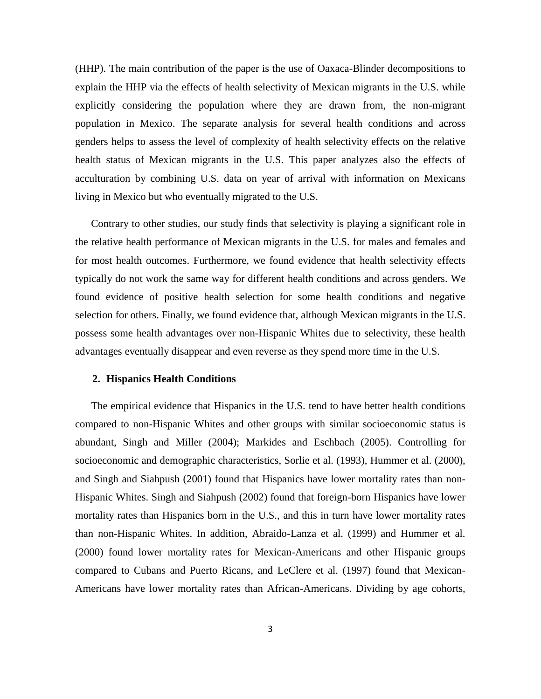(HHP). The main contribution of the paper is the use of Oaxaca-Blinder decompositions to explain the HHP via the effects of health selectivity of Mexican migrants in the U.S. while explicitly considering the population where they are drawn from, the non-migrant population in Mexico. The separate analysis for several health conditions and across genders helps to assess the level of complexity of health selectivity effects on the relative health status of Mexican migrants in the U.S. This paper analyzes also the effects of acculturation by combining U.S. data on year of arrival with information on Mexicans living in Mexico but who eventually migrated to the U.S.

Contrary to other studies, our study finds that selectivity is playing a significant role in the relative health performance of Mexican migrants in the U.S. for males and females and for most health outcomes. Furthermore, we found evidence that health selectivity effects typically do not work the same way for different health conditions and across genders. We found evidence of positive health selection for some health conditions and negative selection for others. Finally, we found evidence that, although Mexican migrants in the U.S. possess some health advantages over non-Hispanic Whites due to selectivity, these health advantages eventually disappear and even reverse as they spend more time in the U.S.

### **2. Hispanics Health Conditions**

The empirical evidence that Hispanics in the U.S. tend to have better health conditions compared to non-Hispanic Whites and other groups with similar socioeconomic status is abundant, Singh and Miller (2004); Markides and Eschbach (2005). Controlling for socioeconomic and demographic characteristics, Sorlie et al. (1993), Hummer et al. (2000), and Singh and Siahpush (2001) found that Hispanics have lower mortality rates than non-Hispanic Whites. Singh and Siahpush (2002) found that foreign-born Hispanics have lower mortality rates than Hispanics born in the U.S., and this in turn have lower mortality rates than non-Hispanic Whites. In addition, Abraido-Lanza et al. (1999) and Hummer et al. (2000) found lower mortality rates for Mexican-Americans and other Hispanic groups compared to Cubans and Puerto Ricans, and LeClere et al. (1997) found that Mexican-Americans have lower mortality rates than African-Americans. Dividing by age cohorts,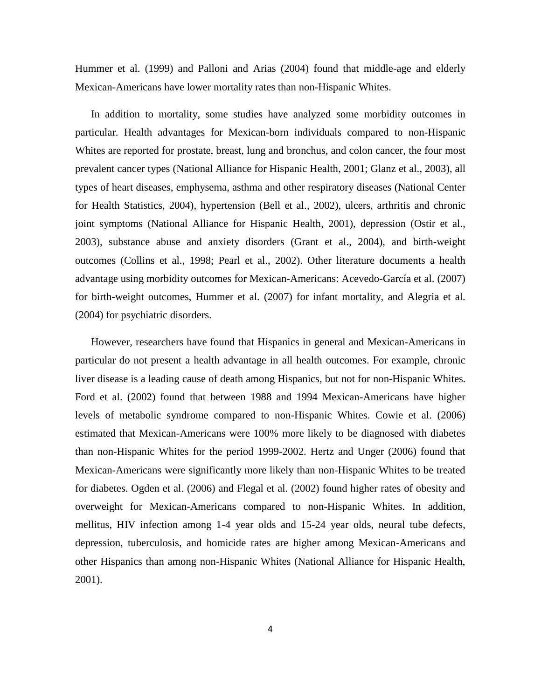Hummer et al. (1999) and Palloni and Arias (2004) found that middle-age and elderly Mexican-Americans have lower mortality rates than non-Hispanic Whites.

In addition to mortality, some studies have analyzed some morbidity outcomes in particular. Health advantages for Mexican-born individuals compared to non-Hispanic Whites are reported for prostate, breast, lung and bronchus, and colon cancer, the four most prevalent cancer types (National Alliance for Hispanic Health, 2001; Glanz et al., 2003), all types of heart diseases, emphysema, asthma and other respiratory diseases (National Center for Health Statistics, 2004), hypertension (Bell et al., 2002), ulcers, arthritis and chronic joint symptoms (National Alliance for Hispanic Health, 2001), depression (Ostir et al., 2003), substance abuse and anxiety disorders (Grant et al., 2004), and birth-weight outcomes (Collins et al., 1998; Pearl et al., 2002). Other literature documents a health advantage using morbidity outcomes for Mexican-Americans: Acevedo-García et al. (2007) for birth-weight outcomes, Hummer et al. (2007) for infant mortality, and Alegria et al. (2004) for psychiatric disorders.

However, researchers have found that Hispanics in general and Mexican-Americans in particular do not present a health advantage in all health outcomes. For example, chronic liver disease is a leading cause of death among Hispanics, but not for non-Hispanic Whites. Ford et al. (2002) found that between 1988 and 1994 Mexican-Americans have higher levels of metabolic syndrome compared to non-Hispanic Whites. Cowie et al. (2006) estimated that Mexican-Americans were 100% more likely to be diagnosed with diabetes than non-Hispanic Whites for the period 1999-2002. Hertz and Unger (2006) found that Mexican-Americans were significantly more likely than non-Hispanic Whites to be treated for diabetes. Ogden et al. (2006) and Flegal et al. (2002) found higher rates of obesity and overweight for Mexican-Americans compared to non-Hispanic Whites. In addition, mellitus, HIV infection among 1-4 year olds and 15-24 year olds, neural tube defects, depression, tuberculosis, and homicide rates are higher among Mexican-Americans and other Hispanics than among non-Hispanic Whites (National Alliance for Hispanic Health, 2001).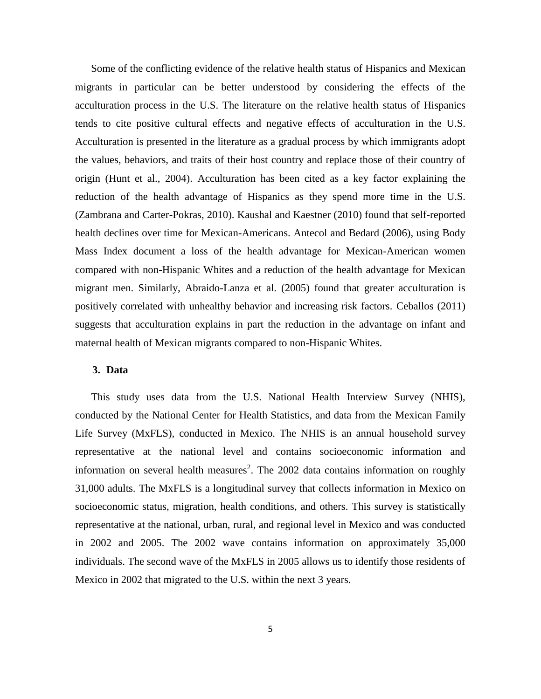Some of the conflicting evidence of the relative health status of Hispanics and Mexican migrants in particular can be better understood by considering the effects of the acculturation process in the U.S. The literature on the relative health status of Hispanics tends to cite positive cultural effects and negative effects of acculturation in the U.S. Acculturation is presented in the literature as a gradual process by which immigrants adopt the values, behaviors, and traits of their host country and replace those of their country of origin (Hunt et al., 2004). Acculturation has been cited as a key factor explaining the reduction of the health advantage of Hispanics as they spend more time in the U.S. (Zambrana and Carter-Pokras, 2010). Kaushal and Kaestner (2010) found that self-reported health declines over time for Mexican-Americans. Antecol and Bedard (2006), using Body Mass Index document a loss of the health advantage for Mexican-American women compared with non-Hispanic Whites and a reduction of the health advantage for Mexican migrant men. Similarly, Abraido-Lanza et al. (2005) found that greater acculturation is positively correlated with unhealthy behavior and increasing risk factors. Ceballos (2011) suggests that acculturation explains in part the reduction in the advantage on infant and maternal health of Mexican migrants compared to non-Hispanic Whites.

### **3. Data**

This study uses data from the U.S. National Health Interview Survey (NHIS), conducted by the National Center for Health Statistics, and data from the Mexican Family Life Survey (MxFLS), conducted in Mexico. The NHIS is an annual household survey representative at the national level and contains socioeconomic information and information on several health measures<sup>2</sup>. The 2002 data contains information on roughly 31,000 adults. The MxFLS is a longitudinal survey that collects information in Mexico on socioeconomic status, migration, health conditions, and others. This survey is statistically representative at the national, urban, rural, and regional level in Mexico and was conducted in 2002 and 2005. The 2002 wave contains information on approximately 35,000 individuals. The second wave of the MxFLS in 2005 allows us to identify those residents of Mexico in 2002 that migrated to the U.S. within the next 3 years.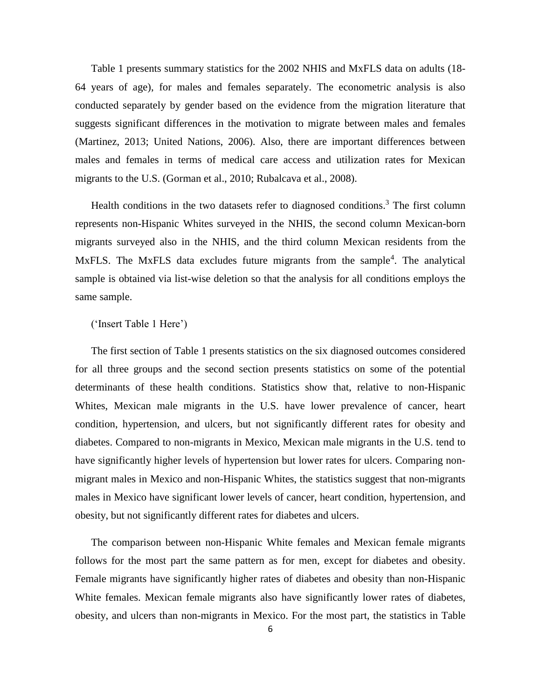Table 1 presents summary statistics for the 2002 NHIS and MxFLS data on adults (18- 64 years of age), for males and females separately. The econometric analysis is also conducted separately by gender based on the evidence from the migration literature that suggests significant differences in the motivation to migrate between males and females (Martinez, 2013; United Nations, 2006). Also, there are important differences between males and females in terms of medical care access and utilization rates for Mexican migrants to the U.S. (Gorman et al., 2010; Rubalcava et al., 2008).

Health conditions in the two datasets refer to diagnosed conditions.<sup>3</sup> The first column represents non-Hispanic Whites surveyed in the NHIS, the second column Mexican-born migrants surveyed also in the NHIS, and the third column Mexican residents from the MxFLS. The MxFLS data excludes future migrants from the sample<sup>4</sup>. The analytical sample is obtained via list-wise deletion so that the analysis for all conditions employs the same sample.

#### ('Insert Table 1 Here')

The first section of Table 1 presents statistics on the six diagnosed outcomes considered for all three groups and the second section presents statistics on some of the potential determinants of these health conditions. Statistics show that, relative to non-Hispanic Whites, Mexican male migrants in the U.S. have lower prevalence of cancer, heart condition, hypertension, and ulcers, but not significantly different rates for obesity and diabetes. Compared to non-migrants in Mexico, Mexican male migrants in the U.S. tend to have significantly higher levels of hypertension but lower rates for ulcers. Comparing nonmigrant males in Mexico and non-Hispanic Whites, the statistics suggest that non-migrants males in Mexico have significant lower levels of cancer, heart condition, hypertension, and obesity, but not significantly different rates for diabetes and ulcers.

The comparison between non-Hispanic White females and Mexican female migrants follows for the most part the same pattern as for men, except for diabetes and obesity. Female migrants have significantly higher rates of diabetes and obesity than non-Hispanic White females. Mexican female migrants also have significantly lower rates of diabetes, obesity, and ulcers than non-migrants in Mexico. For the most part, the statistics in Table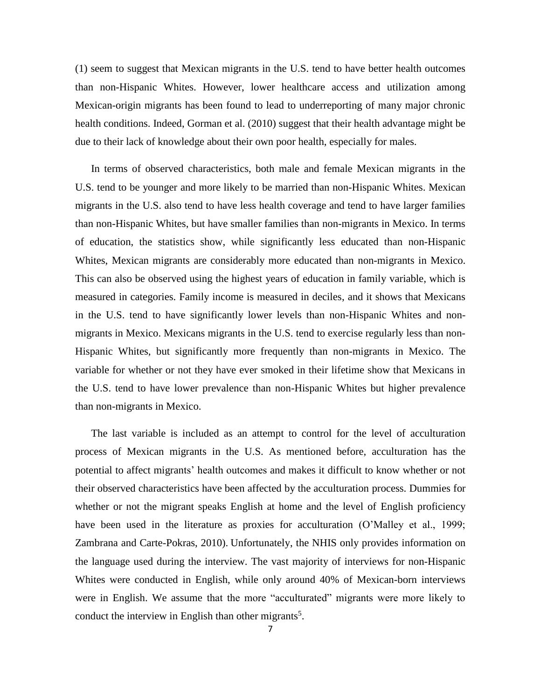(1) seem to suggest that Mexican migrants in the U.S. tend to have better health outcomes than non-Hispanic Whites. However, lower healthcare access and utilization among Mexican-origin migrants has been found to lead to underreporting of many major chronic health conditions. Indeed, Gorman et al. (2010) suggest that their health advantage might be due to their lack of knowledge about their own poor health, especially for males.

In terms of observed characteristics, both male and female Mexican migrants in the U.S. tend to be younger and more likely to be married than non-Hispanic Whites. Mexican migrants in the U.S. also tend to have less health coverage and tend to have larger families than non-Hispanic Whites, but have smaller families than non-migrants in Mexico. In terms of education, the statistics show, while significantly less educated than non-Hispanic Whites, Mexican migrants are considerably more educated than non-migrants in Mexico. This can also be observed using the highest years of education in family variable, which is measured in categories. Family income is measured in deciles, and it shows that Mexicans in the U.S. tend to have significantly lower levels than non-Hispanic Whites and nonmigrants in Mexico. Mexicans migrants in the U.S. tend to exercise regularly less than non-Hispanic Whites, but significantly more frequently than non-migrants in Mexico. The variable for whether or not they have ever smoked in their lifetime show that Mexicans in the U.S. tend to have lower prevalence than non-Hispanic Whites but higher prevalence than non-migrants in Mexico.

The last variable is included as an attempt to control for the level of acculturation process of Mexican migrants in the U.S. As mentioned before, acculturation has the potential to affect migrants' health outcomes and makes it difficult to know whether or not their observed characteristics have been affected by the acculturation process. Dummies for whether or not the migrant speaks English at home and the level of English proficiency have been used in the literature as proxies for acculturation (O'Malley et al., 1999; Zambrana and Carte-Pokras, 2010). Unfortunately, the NHIS only provides information on the language used during the interview. The vast majority of interviews for non-Hispanic Whites were conducted in English, while only around 40% of Mexican-born interviews were in English. We assume that the more "acculturated" migrants were more likely to conduct the interview in English than other migrants<sup>5</sup>.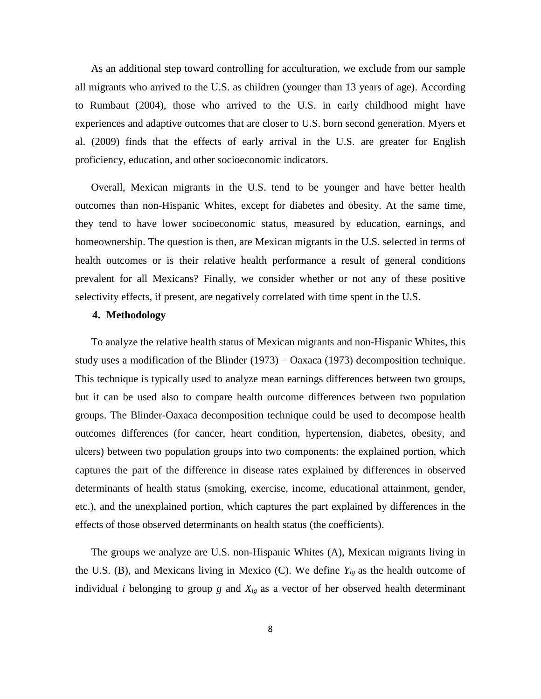As an additional step toward controlling for acculturation, we exclude from our sample all migrants who arrived to the U.S. as children (younger than 13 years of age). According to Rumbaut (2004), those who arrived to the U.S. in early childhood might have experiences and adaptive outcomes that are closer to U.S. born second generation. Myers et al. (2009) finds that the effects of early arrival in the U.S. are greater for English proficiency, education, and other socioeconomic indicators.

Overall, Mexican migrants in the U.S. tend to be younger and have better health outcomes than non-Hispanic Whites, except for diabetes and obesity. At the same time, they tend to have lower socioeconomic status, measured by education, earnings, and homeownership. The question is then, are Mexican migrants in the U.S. selected in terms of health outcomes or is their relative health performance a result of general conditions prevalent for all Mexicans? Finally, we consider whether or not any of these positive selectivity effects, if present, are negatively correlated with time spent in the U.S.

### **4. Methodology**

To analyze the relative health status of Mexican migrants and non-Hispanic Whites, this study uses a modification of the Blinder (1973) – Oaxaca (1973) decomposition technique. This technique is typically used to analyze mean earnings differences between two groups, but it can be used also to compare health outcome differences between two population groups. The Blinder-Oaxaca decomposition technique could be used to decompose health outcomes differences (for cancer, heart condition, hypertension, diabetes, obesity, and ulcers) between two population groups into two components: the explained portion, which captures the part of the difference in disease rates explained by differences in observed determinants of health status (smoking, exercise, income, educational attainment, gender, etc.), and the unexplained portion, which captures the part explained by differences in the effects of those observed determinants on health status (the coefficients).

The groups we analyze are U.S. non-Hispanic Whites (A), Mexican migrants living in the U.S. (B), and Mexicans living in Mexico (C). We define *Yig* as the health outcome of individual *i* belonging to group *g* and *Xig* as a vector of her observed health determinant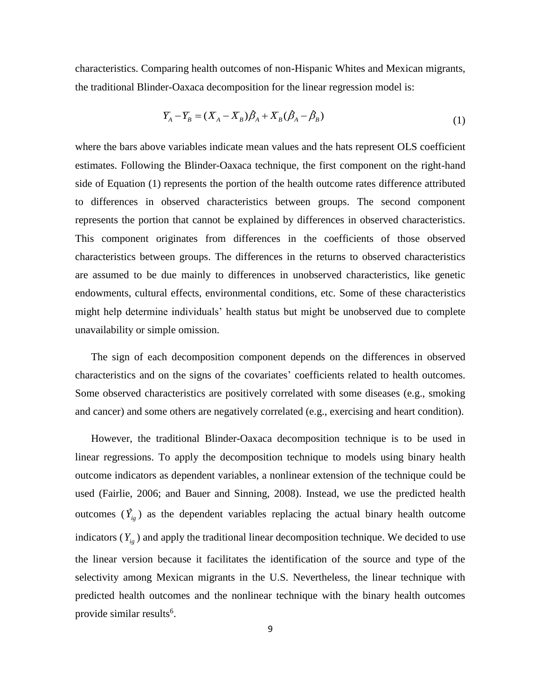characteristics. Comparing health outcomes of non-Hispanic Whites and Mexican migrants, the traditional Blinder-Oaxaca decomposition for the linear regression model is:

$$
Y_A - Y_B = (X_A - X_B)\hat{\beta}_A + X_B(\hat{\beta}_A - \hat{\beta}_B)
$$
\n<sup>(1)</sup>

where the bars above variables indicate mean values and the hats represent OLS coefficient estimates. Following the Blinder-Oaxaca technique, the first component on the right-hand side of Equation (1) represents the portion of the health outcome rates difference attributed to differences in observed characteristics between groups. The second component represents the portion that cannot be explained by differences in observed characteristics. This component originates from differences in the coefficients of those observed characteristics between groups. The differences in the returns to observed characteristics are assumed to be due mainly to differences in unobserved characteristics, like genetic endowments, cultural effects, environmental conditions, etc. Some of these characteristics might help determine individuals' health status but might be unobserved due to complete unavailability or simple omission.

The sign of each decomposition component depends on the differences in observed characteristics and on the signs of the covariates' coefficients related to health outcomes. Some observed characteristics are positively correlated with some diseases (e.g., smoking and cancer) and some others are negatively correlated (e.g., exercising and heart condition).

However, the traditional Blinder-Oaxaca decomposition technique is to be used in linear regressions. To apply the decomposition technique to models using binary health outcome indicators as dependent variables, a nonlinear extension of the technique could be used (Fairlie, 2006; and Bauer and Sinning, 2008). Instead, we use the predicted health outcomes  $(\hat{Y}_{ig})$  as the dependent variables replacing the actual binary health outcome indicators  $(Y_{i_g})$  and apply the traditional linear decomposition technique. We decided to use the linear version because it facilitates the identification of the source and type of the selectivity among Mexican migrants in the U.S. Nevertheless, the linear technique with predicted health outcomes and the nonlinear technique with the binary health outcomes provide similar results<sup>6</sup>.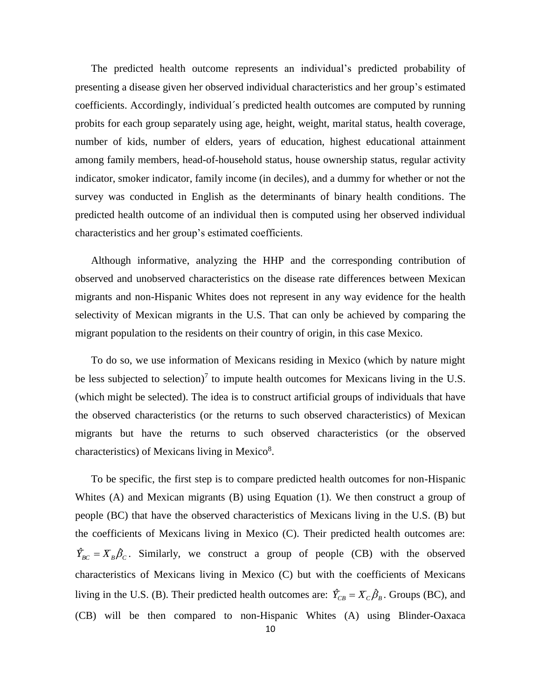The predicted health outcome represents an individual's predicted probability of presenting a disease given her observed individual characteristics and her group's estimated coefficients. Accordingly, individual´s predicted health outcomes are computed by running probits for each group separately using age, height, weight, marital status, health coverage, number of kids, number of elders, years of education, highest educational attainment among family members, head-of-household status, house ownership status, regular activity indicator, smoker indicator, family income (in deciles), and a dummy for whether or not the survey was conducted in English as the determinants of binary health conditions. The predicted health outcome of an individual then is computed using her observed individual characteristics and her group's estimated coefficients.

Although informative, analyzing the HHP and the corresponding contribution of observed and unobserved characteristics on the disease rate differences between Mexican migrants and non-Hispanic Whites does not represent in any way evidence for the health selectivity of Mexican migrants in the U.S. That can only be achieved by comparing the migrant population to the residents on their country of origin, in this case Mexico.

To do so, we use information of Mexicans residing in Mexico (which by nature might be less subjected to selection)<sup>7</sup> to impute health outcomes for Mexicans living in the U.S. (which might be selected). The idea is to construct artificial groups of individuals that have the observed characteristics (or the returns to such observed characteristics) of Mexican migrants but have the returns to such observed characteristics (or the observed characteristics) of Mexicans living in Mexico<sup>8</sup>.

To be specific, the first step is to compare predicted health outcomes for non-Hispanic Whites (A) and Mexican migrants (B) using Equation (1). We then construct a group of people (BC) that have the observed characteristics of Mexicans living in the U.S. (B) but the coefficients of Mexicans living in Mexico (C). Their predicted health outcomes are:  $\hat{Y}_{BC} = X_B \hat{\beta}_C$ . Similarly, we construct a group of people (CB) with the observed characteristics of Mexicans living in Mexico (C) but with the coefficients of Mexicans living in the U.S. (B). Their predicted health outcomes are:  $\hat{Y}_{CB} = X_C \hat{\beta}_B$ . Groups (BC), and (CB) will be then compared to non-Hispanic Whites (A) using Blinder-Oaxaca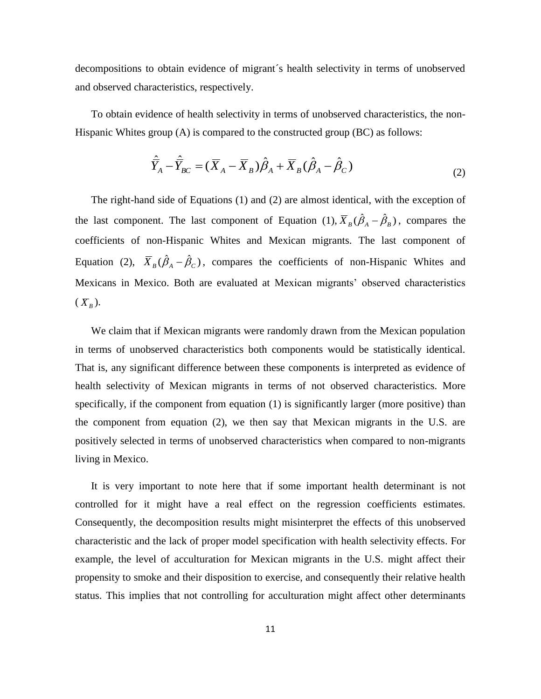decompositions to obtain evidence of migrant´s health selectivity in terms of unobserved and observed characteristics, respectively.

To obtain evidence of health selectivity in terms of unobserved characteristics, the non-Hispanic Whites group (A) is compared to the constructed group (BC) as follows:

$$
\hat{\overline{Y}}_A - \hat{\overline{Y}}_{BC} = (\overline{X}_A - \overline{X}_B)\hat{\beta}_A + \overline{X}_B(\hat{\beta}_A - \hat{\beta}_C)
$$
\n(2)

The right-hand side of Equations (1) and (2) are almost identical, with the exception of the last component. The last component of Equation (1),  $\overline{X}_B(\hat{\beta}_A - \hat{\beta}_B)$ , compares the coefficients of non-Hispanic Whites and Mexican migrants. The last component of Equation (2),  $\overline{X}_B(\hat{\beta}_A - \hat{\beta}_C)$ , compares the coefficients of non-Hispanic Whites and Mexicans in Mexico. Both are evaluated at Mexican migrants' observed characteristics  $(X_{B})$ .

We claim that if Mexican migrants were randomly drawn from the Mexican population in terms of unobserved characteristics both components would be statistically identical. That is, any significant difference between these components is interpreted as evidence of health selectivity of Mexican migrants in terms of not observed characteristics. More specifically, if the component from equation (1) is significantly larger (more positive) than the component from equation (2), we then say that Mexican migrants in the U.S. are positively selected in terms of unobserved characteristics when compared to non-migrants living in Mexico.

It is very important to note here that if some important health determinant is not controlled for it might have a real effect on the regression coefficients estimates. Consequently, the decomposition results might misinterpret the effects of this unobserved characteristic and the lack of proper model specification with health selectivity effects. For example, the level of acculturation for Mexican migrants in the U.S. might affect their propensity to smoke and their disposition to exercise, and consequently their relative health status. This implies that not controlling for acculturation might affect other determinants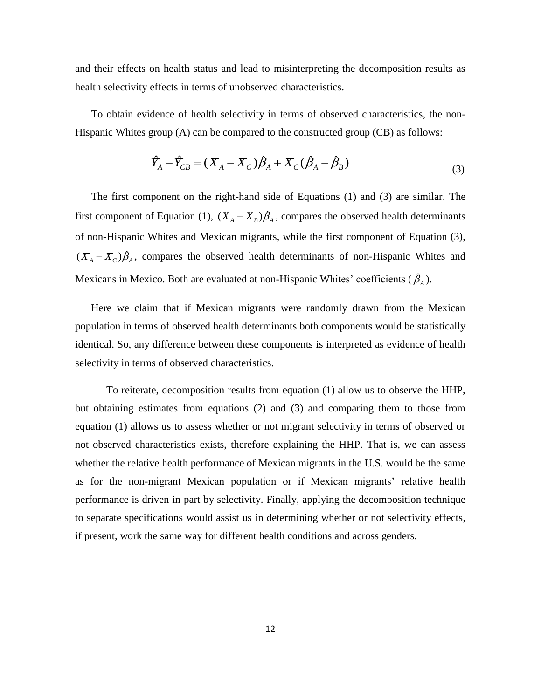and their effects on health status and lead to misinterpreting the decomposition results as health selectivity effects in terms of unobserved characteristics.

To obtain evidence of health selectivity in terms of observed characteristics, the non-Hispanic Whites group (A) can be compared to the constructed group (CB) as follows:

$$
\hat{Y}_A - \hat{Y}_{CB} = (X_A - X_C)\hat{\beta}_A + X_C(\hat{\beta}_A - \hat{\beta}_B)
$$
\n(3)

The first component on the right-hand side of Equations (1) and (3) are similar. The first component of Equation (1),  $(X_A - X_B)\hat{\beta}_A$ , compares the observed health determinants of non-Hispanic Whites and Mexican migrants, while the first component of Equation (3),  $(X_A - X_C)\hat{\beta}_A$ , compares the observed health determinants of non-Hispanic Whites and Mexicans in Mexico. Both are evaluated at non-Hispanic Whites' coefficients  $(\hat{\beta}_A)$ .

Here we claim that if Mexican migrants were randomly drawn from the Mexican population in terms of observed health determinants both components would be statistically identical. So, any difference between these components is interpreted as evidence of health selectivity in terms of observed characteristics.

To reiterate, decomposition results from equation (1) allow us to observe the HHP, but obtaining estimates from equations (2) and (3) and comparing them to those from equation (1) allows us to assess whether or not migrant selectivity in terms of observed or not observed characteristics exists, therefore explaining the HHP. That is, we can assess whether the relative health performance of Mexican migrants in the U.S. would be the same as for the non-migrant Mexican population or if Mexican migrants' relative health performance is driven in part by selectivity. Finally, applying the decomposition technique to separate specifications would assist us in determining whether or not selectivity effects, if present, work the same way for different health conditions and across genders.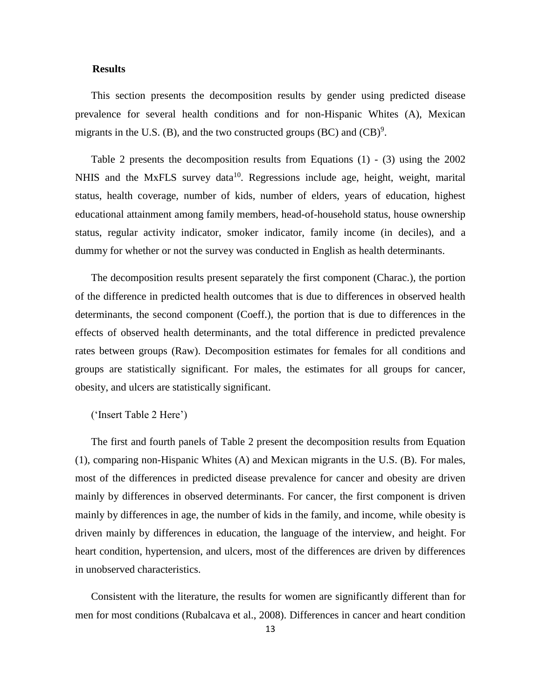#### **Results**

This section presents the decomposition results by gender using predicted disease prevalence for several health conditions and for non-Hispanic Whites (A), Mexican migrants in the U.S. (B), and the two constructed groups (BC) and  $(CB)^9$ .

Table 2 presents the decomposition results from Equations (1) - (3) using the 2002 NHIS and the MxFLS survey data<sup>10</sup>. Regressions include age, height, weight, marital status, health coverage, number of kids, number of elders, years of education, highest educational attainment among family members, head-of-household status, house ownership status, regular activity indicator, smoker indicator, family income (in deciles), and a dummy for whether or not the survey was conducted in English as health determinants.

The decomposition results present separately the first component (Charac.), the portion of the difference in predicted health outcomes that is due to differences in observed health determinants, the second component (Coeff.), the portion that is due to differences in the effects of observed health determinants, and the total difference in predicted prevalence rates between groups (Raw). Decomposition estimates for females for all conditions and groups are statistically significant. For males, the estimates for all groups for cancer, obesity, and ulcers are statistically significant.

('Insert Table 2 Here')

The first and fourth panels of Table 2 present the decomposition results from Equation (1), comparing non-Hispanic Whites (A) and Mexican migrants in the U.S. (B). For males, most of the differences in predicted disease prevalence for cancer and obesity are driven mainly by differences in observed determinants. For cancer, the first component is driven mainly by differences in age, the number of kids in the family, and income, while obesity is driven mainly by differences in education, the language of the interview, and height. For heart condition, hypertension, and ulcers, most of the differences are driven by differences in unobserved characteristics.

Consistent with the literature, the results for women are significantly different than for men for most conditions (Rubalcava et al., 2008). Differences in cancer and heart condition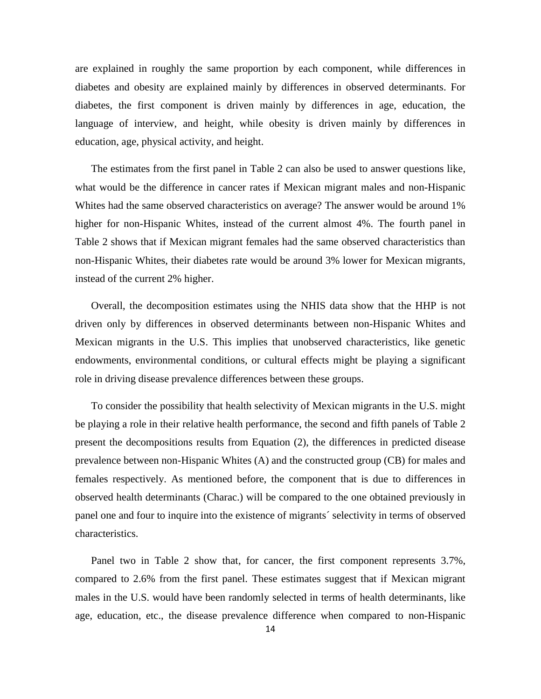are explained in roughly the same proportion by each component, while differences in diabetes and obesity are explained mainly by differences in observed determinants. For diabetes, the first component is driven mainly by differences in age, education, the language of interview, and height, while obesity is driven mainly by differences in education, age, physical activity, and height.

The estimates from the first panel in Table 2 can also be used to answer questions like, what would be the difference in cancer rates if Mexican migrant males and non-Hispanic Whites had the same observed characteristics on average? The answer would be around 1% higher for non-Hispanic Whites, instead of the current almost 4%. The fourth panel in Table 2 shows that if Mexican migrant females had the same observed characteristics than non-Hispanic Whites, their diabetes rate would be around 3% lower for Mexican migrants, instead of the current 2% higher.

Overall, the decomposition estimates using the NHIS data show that the HHP is not driven only by differences in observed determinants between non-Hispanic Whites and Mexican migrants in the U.S. This implies that unobserved characteristics, like genetic endowments, environmental conditions, or cultural effects might be playing a significant role in driving disease prevalence differences between these groups.

To consider the possibility that health selectivity of Mexican migrants in the U.S. might be playing a role in their relative health performance, the second and fifth panels of Table 2 present the decompositions results from Equation (2), the differences in predicted disease prevalence between non-Hispanic Whites (A) and the constructed group (CB) for males and females respectively. As mentioned before, the component that is due to differences in observed health determinants (Charac.) will be compared to the one obtained previously in panel one and four to inquire into the existence of migrants´ selectivity in terms of observed characteristics.

Panel two in Table 2 show that, for cancer, the first component represents 3.7%, compared to 2.6% from the first panel. These estimates suggest that if Mexican migrant males in the U.S. would have been randomly selected in terms of health determinants, like age, education, etc., the disease prevalence difference when compared to non-Hispanic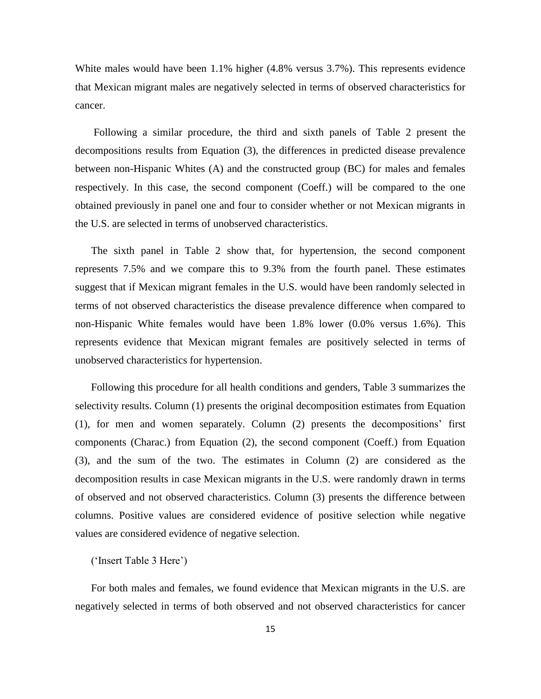White males would have been 1.1% higher (4.8% versus 3.7%). This represents evidence that Mexican migrant males are negatively selected in terms of observed characteristics for cancer.

Following a similar procedure, the third and sixth panels of Table 2 present the decompositions results from Equation (3), the differences in predicted disease prevalence between non-Hispanic Whites (A) and the constructed group (BC) for males and females respectively. In this case, the second component (Coeff.) will be compared to the one obtained previously in panel one and four to consider whether or not Mexican migrants in the U.S. are selected in terms of unobserved characteristics.

The sixth panel in Table 2 show that, for hypertension, the second component represents 7.5% and we compare this to 9.3% from the fourth panel. These estimates suggest that if Mexican migrant females in the U.S. would have been randomly selected in terms of not observed characteristics the disease prevalence difference when compared to non-Hispanic White females would have been 1.8% lower (0.0% versus 1.6%). This represents evidence that Mexican migrant females are positively selected in terms of unobserved characteristics for hypertension.

Following this procedure for all health conditions and genders, Table 3 summarizes the selectivity results. Column (1) presents the original decomposition estimates from Equation (1), for men and women separately. Column (2) presents the decompositions' first components (Charac.) from Equation (2), the second component (Coeff.) from Equation (3), and the sum of the two. The estimates in Column (2) are considered as the decomposition results in case Mexican migrants in the U.S. were randomly drawn in terms of observed and not observed characteristics. Column (3) presents the difference between columns. Positive values are considered evidence of positive selection while negative values are considered evidence of negative selection.

## ('Insert Table 3 Here')

For both males and females, we found evidence that Mexican migrants in the U.S. are negatively selected in terms of both observed and not observed characteristics for cancer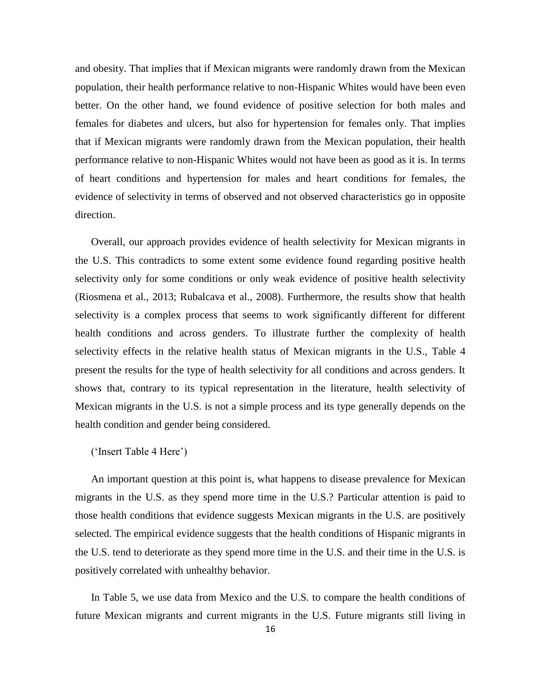and obesity. That implies that if Mexican migrants were randomly drawn from the Mexican population, their health performance relative to non-Hispanic Whites would have been even better. On the other hand, we found evidence of positive selection for both males and females for diabetes and ulcers, but also for hypertension for females only. That implies that if Mexican migrants were randomly drawn from the Mexican population, their health performance relative to non-Hispanic Whites would not have been as good as it is. In terms of heart conditions and hypertension for males and heart conditions for females, the evidence of selectivity in terms of observed and not observed characteristics go in opposite direction.

Overall, our approach provides evidence of health selectivity for Mexican migrants in the U.S. This contradicts to some extent some evidence found regarding positive health selectivity only for some conditions or only weak evidence of positive health selectivity (Riosmena et al., 2013; Rubalcava et al., 2008). Furthermore, the results show that health selectivity is a complex process that seems to work significantly different for different health conditions and across genders. To illustrate further the complexity of health selectivity effects in the relative health status of Mexican migrants in the U.S., Table 4 present the results for the type of health selectivity for all conditions and across genders. It shows that, contrary to its typical representation in the literature, health selectivity of Mexican migrants in the U.S. is not a simple process and its type generally depends on the health condition and gender being considered.

### ('Insert Table 4 Here')

An important question at this point is, what happens to disease prevalence for Mexican migrants in the U.S. as they spend more time in the U.S.? Particular attention is paid to those health conditions that evidence suggests Mexican migrants in the U.S. are positively selected. The empirical evidence suggests that the health conditions of Hispanic migrants in the U.S. tend to deteriorate as they spend more time in the U.S. and their time in the U.S. is positively correlated with unhealthy behavior.

In Table 5, we use data from Mexico and the U.S. to compare the health conditions of future Mexican migrants and current migrants in the U.S. Future migrants still living in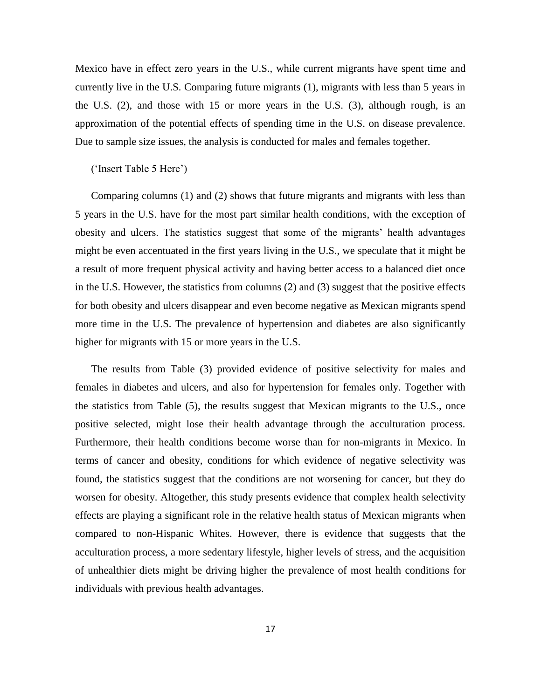Mexico have in effect zero years in the U.S., while current migrants have spent time and currently live in the U.S. Comparing future migrants (1), migrants with less than 5 years in the U.S. (2), and those with 15 or more years in the U.S. (3), although rough, is an approximation of the potential effects of spending time in the U.S. on disease prevalence. Due to sample size issues, the analysis is conducted for males and females together.

#### ('Insert Table 5 Here')

Comparing columns (1) and (2) shows that future migrants and migrants with less than 5 years in the U.S. have for the most part similar health conditions, with the exception of obesity and ulcers. The statistics suggest that some of the migrants' health advantages might be even accentuated in the first years living in the U.S., we speculate that it might be a result of more frequent physical activity and having better access to a balanced diet once in the U.S. However, the statistics from columns (2) and (3) suggest that the positive effects for both obesity and ulcers disappear and even become negative as Mexican migrants spend more time in the U.S. The prevalence of hypertension and diabetes are also significantly higher for migrants with 15 or more years in the U.S.

The results from Table (3) provided evidence of positive selectivity for males and females in diabetes and ulcers, and also for hypertension for females only. Together with the statistics from Table (5), the results suggest that Mexican migrants to the U.S., once positive selected, might lose their health advantage through the acculturation process. Furthermore, their health conditions become worse than for non-migrants in Mexico. In terms of cancer and obesity, conditions for which evidence of negative selectivity was found, the statistics suggest that the conditions are not worsening for cancer, but they do worsen for obesity. Altogether, this study presents evidence that complex health selectivity effects are playing a significant role in the relative health status of Mexican migrants when compared to non-Hispanic Whites. However, there is evidence that suggests that the acculturation process, a more sedentary lifestyle, higher levels of stress, and the acquisition of unhealthier diets might be driving higher the prevalence of most health conditions for individuals with previous health advantages.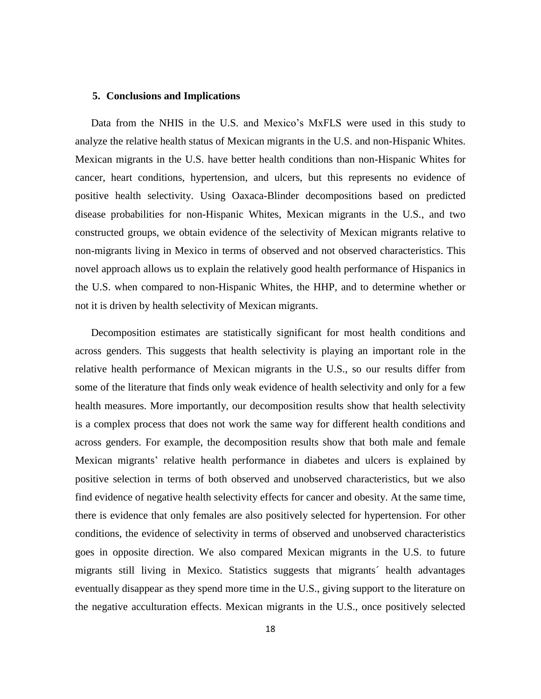#### **5. Conclusions and Implications**

Data from the NHIS in the U.S. and Mexico's MxFLS were used in this study to analyze the relative health status of Mexican migrants in the U.S. and non-Hispanic Whites. Mexican migrants in the U.S. have better health conditions than non-Hispanic Whites for cancer, heart conditions, hypertension, and ulcers, but this represents no evidence of positive health selectivity. Using Oaxaca-Blinder decompositions based on predicted disease probabilities for non-Hispanic Whites, Mexican migrants in the U.S., and two constructed groups, we obtain evidence of the selectivity of Mexican migrants relative to non-migrants living in Mexico in terms of observed and not observed characteristics. This novel approach allows us to explain the relatively good health performance of Hispanics in the U.S. when compared to non-Hispanic Whites, the HHP, and to determine whether or not it is driven by health selectivity of Mexican migrants.

Decomposition estimates are statistically significant for most health conditions and across genders. This suggests that health selectivity is playing an important role in the relative health performance of Mexican migrants in the U.S., so our results differ from some of the literature that finds only weak evidence of health selectivity and only for a few health measures. More importantly, our decomposition results show that health selectivity is a complex process that does not work the same way for different health conditions and across genders. For example, the decomposition results show that both male and female Mexican migrants' relative health performance in diabetes and ulcers is explained by positive selection in terms of both observed and unobserved characteristics, but we also find evidence of negative health selectivity effects for cancer and obesity. At the same time, there is evidence that only females are also positively selected for hypertension. For other conditions, the evidence of selectivity in terms of observed and unobserved characteristics goes in opposite direction. We also compared Mexican migrants in the U.S. to future migrants still living in Mexico. Statistics suggests that migrants´ health advantages eventually disappear as they spend more time in the U.S., giving support to the literature on the negative acculturation effects. Mexican migrants in the U.S., once positively selected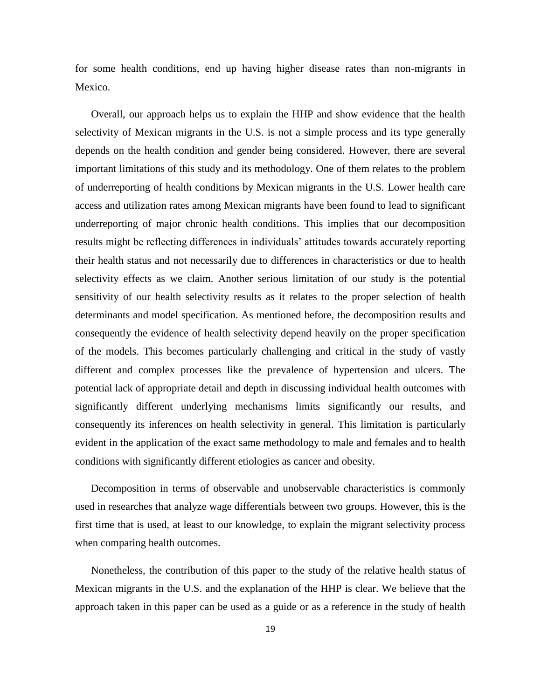for some health conditions, end up having higher disease rates than non-migrants in Mexico.

Overall, our approach helps us to explain the HHP and show evidence that the health selectivity of Mexican migrants in the U.S. is not a simple process and its type generally depends on the health condition and gender being considered. However, there are several important limitations of this study and its methodology. One of them relates to the problem of underreporting of health conditions by Mexican migrants in the U.S. Lower health care access and utilization rates among Mexican migrants have been found to lead to significant underreporting of major chronic health conditions. This implies that our decomposition results might be reflecting differences in individuals' attitudes towards accurately reporting their health status and not necessarily due to differences in characteristics or due to health selectivity effects as we claim. Another serious limitation of our study is the potential sensitivity of our health selectivity results as it relates to the proper selection of health determinants and model specification. As mentioned before, the decomposition results and consequently the evidence of health selectivity depend heavily on the proper specification of the models. This becomes particularly challenging and critical in the study of vastly different and complex processes like the prevalence of hypertension and ulcers. The potential lack of appropriate detail and depth in discussing individual health outcomes with significantly different underlying mechanisms limits significantly our results, and consequently its inferences on health selectivity in general. This limitation is particularly evident in the application of the exact same methodology to male and females and to health conditions with significantly different etiologies as cancer and obesity.

Decomposition in terms of observable and unobservable characteristics is commonly used in researches that analyze wage differentials between two groups. However, this is the first time that is used, at least to our knowledge, to explain the migrant selectivity process when comparing health outcomes.

Nonetheless, the contribution of this paper to the study of the relative health status of Mexican migrants in the U.S. and the explanation of the HHP is clear. We believe that the approach taken in this paper can be used as a guide or as a reference in the study of health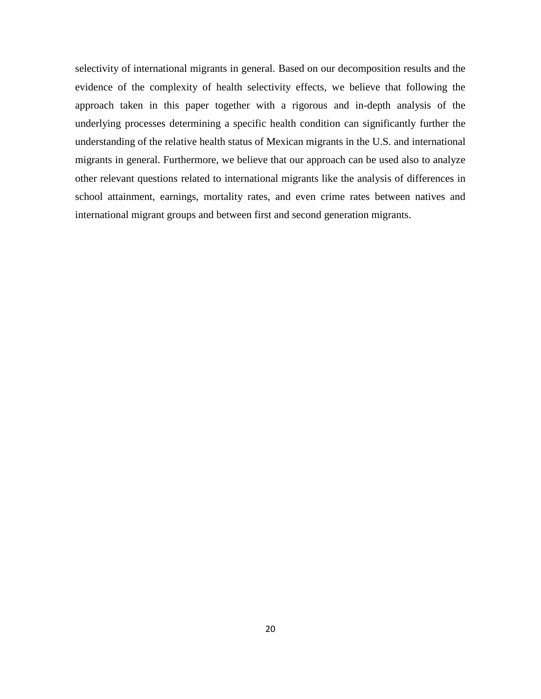selectivity of international migrants in general. Based on our decomposition results and the evidence of the complexity of health selectivity effects, we believe that following the approach taken in this paper together with a rigorous and in-depth analysis of the underlying processes determining a specific health condition can significantly further the understanding of the relative health status of Mexican migrants in the U.S. and international migrants in general. Furthermore, we believe that our approach can be used also to analyze other relevant questions related to international migrants like the analysis of differences in school attainment, earnings, mortality rates, and even crime rates between natives and international migrant groups and between first and second generation migrants.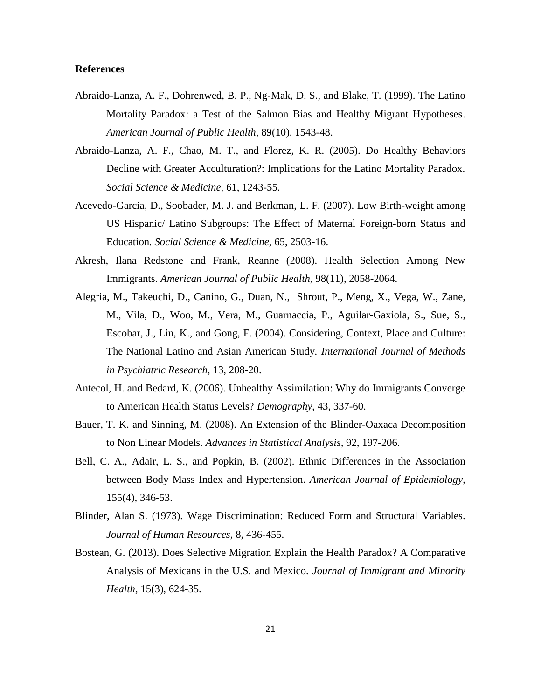### **References**

- Abraido-Lanza, A. F., Dohrenwed, B. P., Ng-Mak, D. S., and Blake, T. (1999). The Latino Mortality Paradox: a Test of the Salmon Bias and Healthy Migrant Hypotheses. *American Journal of Public Health*, 89(10), 1543-48.
- Abraido-Lanza, A. F., Chao, M. T., and Florez, K. R. (2005). Do Healthy Behaviors Decline with Greater Acculturation?: Implications for the Latino Mortality Paradox. *Social Science & Medicine,* 61, 1243-55.
- Acevedo-Garcia, D., Soobader, M. J. and Berkman, L. F. (2007). Low Birth-weight among US Hispanic/ Latino Subgroups: The Effect of Maternal Foreign-born Status and Education*. Social Science & Medicine,* 65, 2503-16.
- Akresh, Ilana Redstone and Frank, Reanne (2008). Health Selection Among New Immigrants. *American Journal of Public Health,* 98(11), 2058-2064.
- Alegria, M., Takeuchi, D., Canino, G., Duan, N., Shrout, P., Meng, X., Vega, W., Zane, M., Vila, D., Woo, M., Vera, M., Guarnaccia, P., Aguilar-Gaxiola, S., Sue, S., Escobar, J., Lin, K., and Gong, F. (2004). Considering, Context, Place and Culture: The National Latino and Asian American Study*. International Journal of Methods in Psychiatric Research,* 13, 208-20.
- Antecol, H. and Bedard, K. (2006). Unhealthy Assimilation: Why do Immigrants Converge to American Health Status Levels? *Demography*, 43, 337-60.
- Bauer, T. K. and Sinning, M. (2008). An Extension of the Blinder-Oaxaca Decomposition to Non Linear Models. *Advances in Statistical Analysis,* 92, 197-206.
- Bell, C. A., Adair, L. S., and Popkin, B. (2002). Ethnic Differences in the Association between Body Mass Index and Hypertension. *American Journal of Epidemiology,* 155(4), 346-53.
- Blinder, Alan S. (1973). Wage Discrimination: Reduced Form and Structural Variables. *Journal of Human Resources,* 8, 436-455.
- Bostean, G. (2013). Does Selective Migration Explain the Health Paradox? A Comparative Analysis of Mexicans in the U.S. and Mexico. *Journal of Immigrant and Minority Health,* 15(3), 624-35.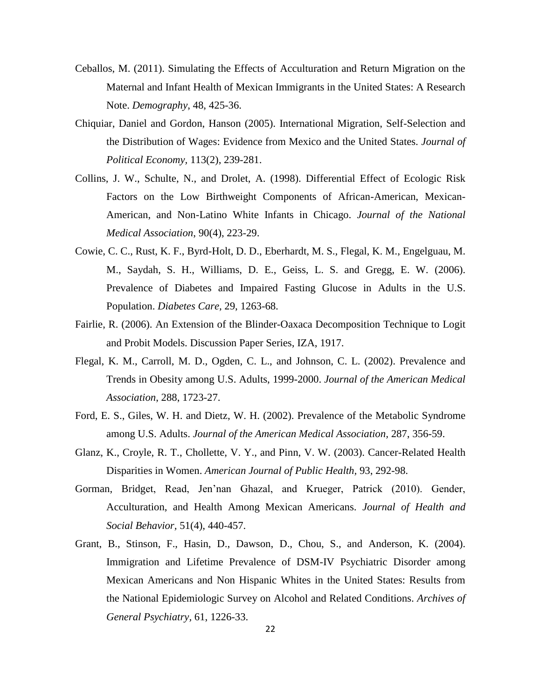- Ceballos, M. (2011). Simulating the Effects of Acculturation and Return Migration on the Maternal and Infant Health of Mexican Immigrants in the United States: A Research Note. *Demography*, 48, 425-36.
- Chiquiar, Daniel and Gordon, Hanson (2005). International Migration, Self-Selection and the Distribution of Wages: Evidence from Mexico and the United States. *Journal of Political Economy,* 113(2), 239-281.
- Collins, J. W., Schulte, N., and Drolet, A. (1998). Differential Effect of Ecologic Risk Factors on the Low Birthweight Components of African-American, Mexican-American, and Non-Latino White Infants in Chicago. *Journal of the National Medical Association*, 90(4), 223-29.
- Cowie, C. C., Rust, K. F., Byrd-Holt, D. D., Eberhardt, M. S., Flegal, K. M., Engelguau, M. M., Saydah, S. H., Williams, D. E., Geiss, L. S. and Gregg, E. W. (2006). Prevalence of Diabetes and Impaired Fasting Glucose in Adults in the U.S. Population. *Diabetes Care,* 29, 1263-68.
- Fairlie, R. (2006). An Extension of the Blinder-Oaxaca Decomposition Technique to Logit and Probit Models. Discussion Paper Series, IZA, 1917.
- Flegal, K. M., Carroll, M. D., Ogden, C. L., and Johnson, C. L. (2002). Prevalence and Trends in Obesity among U.S. Adults, 1999-2000. *Journal of the American Medical Association*, 288, 1723-27.
- Ford, E. S., Giles, W. H. and Dietz, W. H. (2002). Prevalence of the Metabolic Syndrome among U.S. Adults. *Journal of the American Medical Association,* 287, 356-59.
- Glanz, K., Croyle, R. T., Chollette, V. Y., and Pinn, V. W. (2003). Cancer-Related Health Disparities in Women. *American Journal of Public Health,* 93, 292-98.
- Gorman, Bridget, Read, Jen'nan Ghazal, and Krueger, Patrick (2010). Gender, Acculturation, and Health Among Mexican Americans. *Journal of Health and Social Behavior,* 51(4), 440-457.
- Grant, B., Stinson, F., Hasin, D., Dawson, D., Chou, S., and Anderson, K. (2004). Immigration and Lifetime Prevalence of DSM-IV Psychiatric Disorder among Mexican Americans and Non Hispanic Whites in the United States: Results from the National Epidemiologic Survey on Alcohol and Related Conditions. *Archives of General Psychiatry,* 61, 1226-33.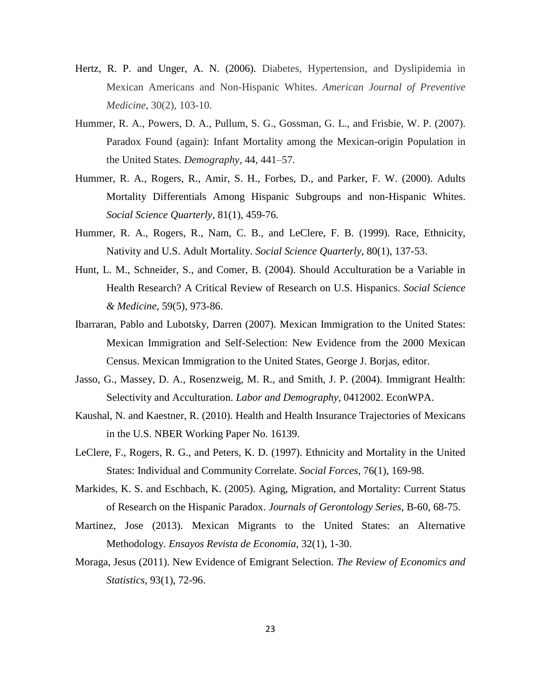- Hertz, R. P. and Unger, A. N. (2006). Diabetes, Hypertension, and Dyslipidemia in Mexican Americans and Non-Hispanic Whites. *American Journal of Preventive Medicine*, 30(2), 103-10.
- Hummer, R. A., Powers, D. A., Pullum, S. G., Gossman, G. L., and Frisbie, W. P. (2007). Paradox Found (again): Infant Mortality among the Mexican-origin Population in the United States. *Demography*, 44, 441–57.
- Hummer, R. A., Rogers, R., Amir, S. H., Forbes, D., and Parker, F. W. (2000). Adults Mortality Differentials Among Hispanic Subgroups and non-Hispanic Whites. *Social Science Quarterly*, 81(1), 459-76.
- Hummer, R. A., Rogers, R., Nam, C. B., and LeClere, F. B. (1999). Race, Ethnicity, Nativity and U.S. Adult Mortality. *Social Science Quarterly,* 80(1), 137-53.
- Hunt, L. M., Schneider, S., and Comer, B. (2004). Should Acculturation be a Variable in Health Research? A Critical Review of Research on U.S. Hispanics. *Social Science & Medicine*, 59(5), 973-86.
- Ibarraran, Pablo and Lubotsky, Darren (2007). Mexican Immigration to the United States: Mexican Immigration and Self-Selection: New Evidence from the 2000 Mexican Census. Mexican Immigration to the United States, George J. Borjas, editor.
- Jasso, G., Massey, D. A., Rosenzweig, M. R., and Smith, J. P. (2004). Immigrant Health: Selectivity and Acculturation. *Labor and Demography*, 0412002. EconWPA.
- Kaushal, N. and Kaestner, R. (2010). Health and Health Insurance Trajectories of Mexicans in the U.S. NBER Working Paper No. 16139.
- LeClere, F., Rogers, R. G., and Peters, K. D. (1997). Ethnicity and Mortality in the United States: Individual and Community Correlate. *Social Forces,* 76(1), 169-98.
- Markides, K. S. and Eschbach, K. (2005). Aging, Migration, and Mortality: Current Status of Research on the Hispanic Paradox. *Journals of Gerontology Series,* B-60, 68-75.
- Martinez, Jose (2013). Mexican Migrants to the United States: an Alternative Methodology. *Ensayos Revista de Economia,* 32(1), 1-30.
- Moraga, Jesus (2011). New Evidence of Emigrant Selection. *The Review of Economics and Statistics,* 93(1), 72-96.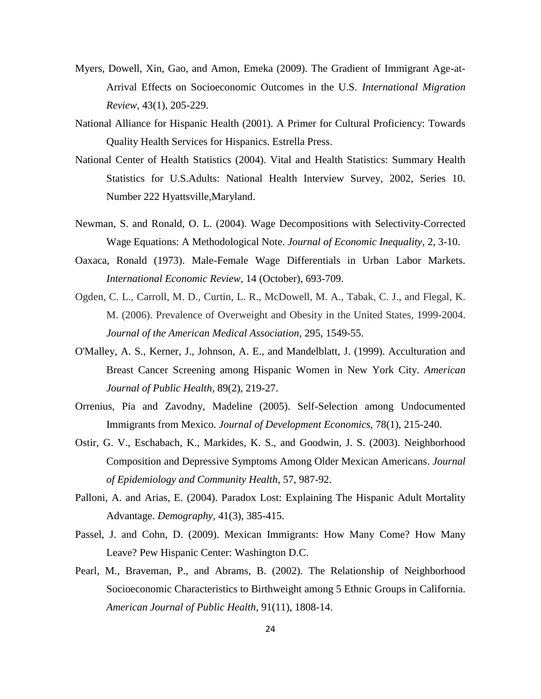- Myers, Dowell, Xin, Gao, and Amon, Emeka (2009). The Gradient of Immigrant Age-at-Arrival Effects on Socioeconomic Outcomes in the U.S. *International Migration Review,* 43(1), 205-229.
- National Alliance for Hispanic Health (2001). A Primer for Cultural Proficiency: Towards Quality Health Services for Hispanics. Estrella Press.
- National Center of Health Statistics (2004). Vital and Health Statistics: Summary Health Statistics for U.S.Adults: National Health Interview Survey, 2002, Series 10. Number 222 Hyattsville,Maryland.
- Newman, S. and Ronald, O. L. (2004). Wage Decompositions with Selectivity-Corrected Wage Equations: A Methodological Note. *Journal of Economic Inequality*, 2, 3-10.
- Oaxaca, Ronald (1973). Male-Female Wage Differentials in Urban Labor Markets. *International Economic Review,* 14 (October), 693-709.
- Ogden, C. L., Carroll, M. D., Curtin, L. R., McDowell, M. A., Tabak, C. J., and Flegal, K. M. (2006). Prevalence of Overweight and Obesity in the United States, 1999-2004. *Journal of the American Medical Association,* 295, 1549-55.
- O'Malley, A. S., Kerner, J., Johnson, A. E., and Mandelblatt, J. (1999). Acculturation and Breast Cancer Screening among Hispanic Women in New York City. *American Journal of Public Health,* 89(2), 219-27.
- Orrenius, Pia and Zavodny, Madeline (2005). Self-Selection among Undocumented Immigrants from Mexico. *Journal of Development Economics,* 78(1), 215-240.
- Ostir, G. V., Eschabach, K., Markides, K. S., and Goodwin, J. S. (2003). Neighborhood Composition and Depressive Symptoms Among Older Mexican Americans. *Journal of Epidemiology and Community Health,* 57, 987-92.
- Palloni, A. and Arias, E. (2004). Paradox Lost: Explaining The Hispanic Adult Mortality Advantage. *Demography*, 41(3), 385-415.
- Passel, J. and Cohn, D. (2009). Mexican Immigrants: How Many Come? How Many Leave? Pew Hispanic Center: Washington D.C.
- Pearl, M., Braveman, P., and Abrams, B. (2002). The Relationship of Neighborhood Socioeconomic Characteristics to Birthweight among 5 Ethnic Groups in California. *American Journal of Public Health,* 91(11), 1808-14.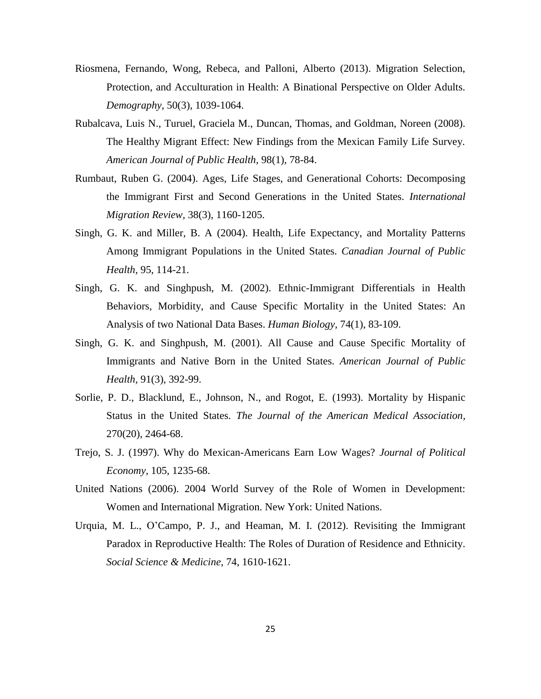- Riosmena, Fernando, Wong, Rebeca, and Palloni, Alberto (2013). Migration Selection, Protection, and Acculturation in Health: A Binational Perspective on Older Adults. *Demography,* 50(3), 1039-1064.
- Rubalcava, Luis N., Turuel, Graciela M., Duncan, Thomas, and Goldman, Noreen (2008). The Healthy Migrant Effect: New Findings from the Mexican Family Life Survey. *American Journal of Public Health,* 98(1), 78-84.
- Rumbaut, Ruben G. (2004). Ages, Life Stages, and Generational Cohorts: Decomposing the Immigrant First and Second Generations in the United States. *International Migration Review,* 38(3), 1160-1205.
- Singh, G. K. and Miller, B. A (2004). Health, Life Expectancy, and Mortality Patterns Among Immigrant Populations in the United States. *Canadian Journal of Public Health,* 95, 114-21.
- Singh, G. K. and Singhpush, M. (2002). Ethnic-Immigrant Differentials in Health Behaviors, Morbidity, and Cause Specific Mortality in the United States: An Analysis of two National Data Bases. *Human Biology,* 74(1), 83-109.
- Singh, G. K. and Singhpush, M. (2001). All Cause and Cause Specific Mortality of Immigrants and Native Born in the United States. *American Journal of Public Health,* 91(3), 392-99.
- Sorlie, P. D., Blacklund, E., Johnson, N., and Rogot, E. (1993). Mortality by Hispanic Status in the United States. *The Journal of the American Medical Association,* 270(20), 2464-68.
- Trejo, S. J. (1997). Why do Mexican-Americans Earn Low Wages? *Journal of Political Economy,* 105, 1235-68.
- United Nations (2006). 2004 World Survey of the Role of Women in Development: Women and International Migration. New York: United Nations.
- Urquia, M. L., O'Campo, P. J., and Heaman, M. I. (2012). Revisiting the Immigrant Paradox in Reproductive Health: The Roles of Duration of Residence and Ethnicity. *Social Science & Medicine,* 74, 1610-1621.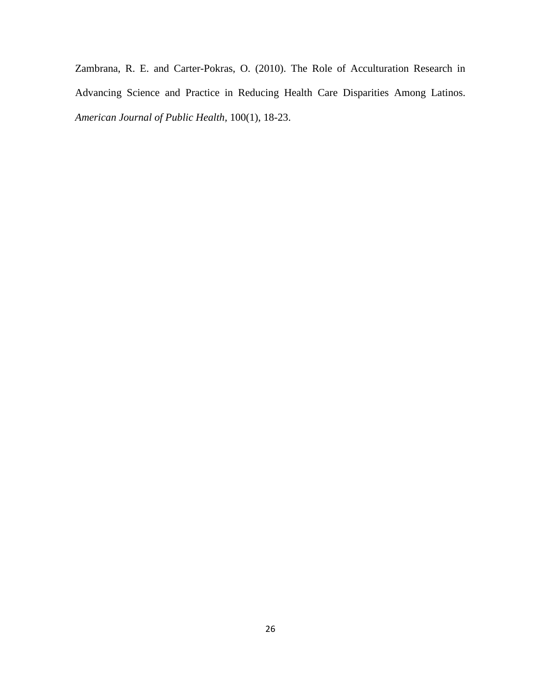Zambrana, R. E. and Carter-Pokras, O. (2010). The Role of Acculturation Research in Advancing Science and Practice in Reducing Health Care Disparities Among Latinos. *American Journal of Public Health,* 100(1), 18-23.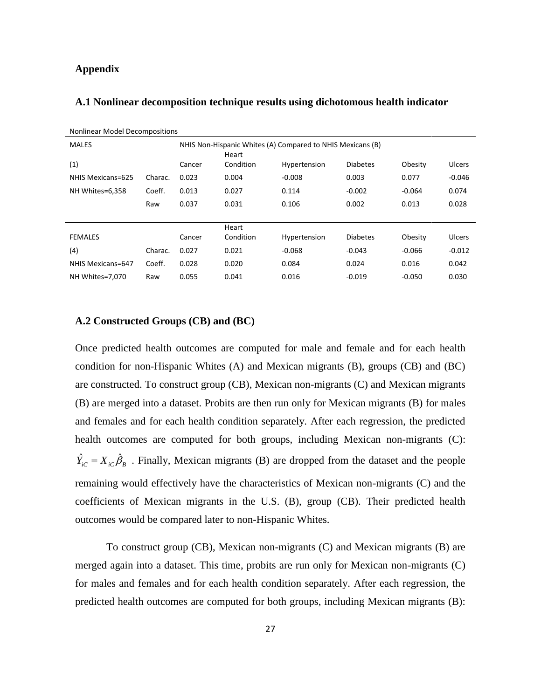## **Appendix**

|  |  |  | A.1 Nonlinear decomposition technique results using dichotomous health indicator |
|--|--|--|----------------------------------------------------------------------------------|
|--|--|--|----------------------------------------------------------------------------------|

| Nonlinear Model Decompositions |         |        |                                                                     |              |                 |          |               |  |  |  |  |  |
|--------------------------------|---------|--------|---------------------------------------------------------------------|--------------|-----------------|----------|---------------|--|--|--|--|--|
| <b>MALES</b>                   |         |        | NHIS Non-Hispanic Whites (A) Compared to NHIS Mexicans (B)<br>Heart |              |                 |          |               |  |  |  |  |  |
| (1)                            |         | Cancer | Condition                                                           | Hypertension | <b>Diabetes</b> | Obesity  | <b>Ulcers</b> |  |  |  |  |  |
| NHIS Mexicans=625              | Charac. | 0.023  | 0.004                                                               | $-0.008$     | 0.003           | 0.077    | $-0.046$      |  |  |  |  |  |
| NH Whites=6,358                | Coeff.  | 0.013  | 0.027                                                               | 0.114        | $-0.002$        | $-0.064$ | 0.074         |  |  |  |  |  |
|                                | Raw     | 0.037  | 0.031                                                               | 0.106        | 0.002           | 0.013    | 0.028         |  |  |  |  |  |
|                                |         |        |                                                                     |              |                 |          |               |  |  |  |  |  |
|                                |         |        | Heart                                                               |              |                 |          |               |  |  |  |  |  |
| <b>FEMALES</b>                 |         | Cancer | Condition                                                           | Hypertension | <b>Diabetes</b> | Obesity  | Ulcers        |  |  |  |  |  |
| (4)                            | Charac. | 0.027  | 0.021                                                               | $-0.068$     | $-0.043$        | $-0.066$ | $-0.012$      |  |  |  |  |  |
| NHIS Mexicans=647              | Coeff.  | 0.028  | 0.020                                                               | 0.084        | 0.024           | 0.016    | 0.042         |  |  |  |  |  |
| NH Whites=7,070                | Raw     | 0.055  | 0.041                                                               | 0.016        | $-0.019$        | $-0.050$ | 0.030         |  |  |  |  |  |

### **A.2 Constructed Groups (CB) and (BC)**

Once predicted health outcomes are computed for male and female and for each health condition for non-Hispanic Whites (A) and Mexican migrants (B), groups (CB) and (BC) are constructed. To construct group (CB), Mexican non-migrants (C) and Mexican migrants (B) are merged into a dataset. Probits are then run only for Mexican migrants (B) for males and females and for each health condition separately. After each regression, the predicted health outcomes are computed for both groups, including Mexican non-migrants (C):  $\hat{Y}_{iC} = X_{iC} \hat{\beta}_B$ . Finally, Mexican migrants (B) are dropped from the dataset and the people remaining would effectively have the characteristics of Mexican non-migrants (C) and the coefficients of Mexican migrants in the U.S. (B), group (CB). Their predicted health outcomes would be compared later to non-Hispanic Whites.

To construct group (CB), Mexican non-migrants (C) and Mexican migrants (B) are merged again into a dataset. This time, probits are run only for Mexican non-migrants (C) for males and females and for each health condition separately. After each regression, the predicted health outcomes are computed for both groups, including Mexican migrants (B):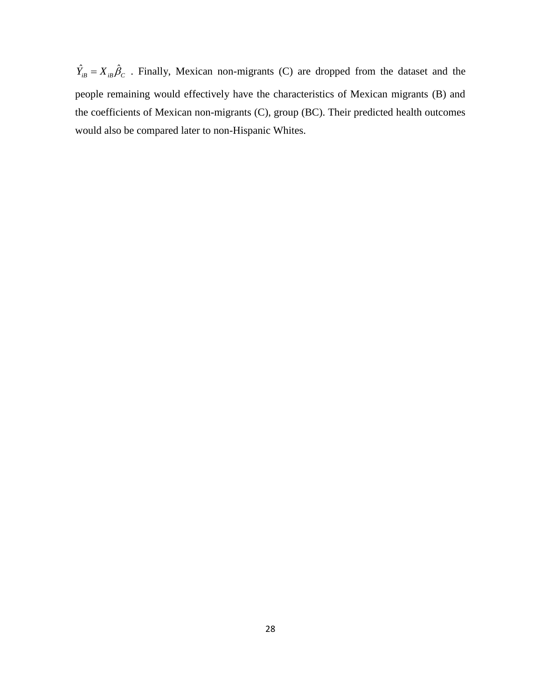$\hat{Y}_{iB} = X_{iB} \hat{\beta}_C$ . Finally, Mexican non-migrants (C) are dropped from the dataset and the people remaining would effectively have the characteristics of Mexican migrants (B) and the coefficients of Mexican non-migrants (C), group (BC). Their predicted health outcomes would also be compared later to non-Hispanic Whites.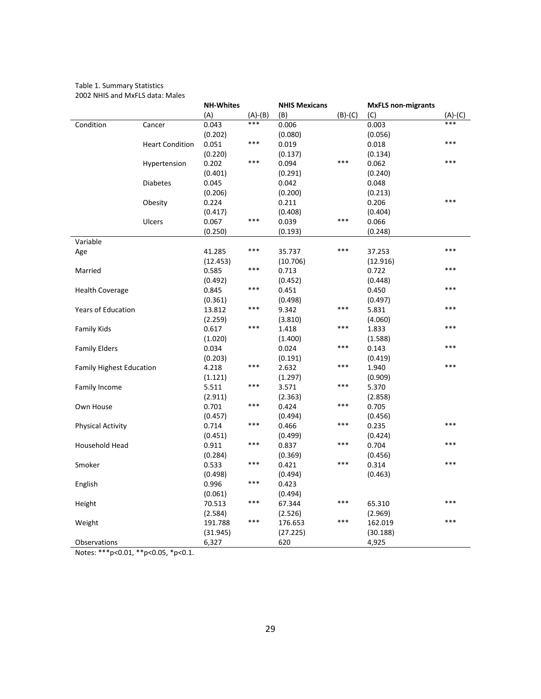Table 1. Summary Statistics 2002 NHIS and MxFLS data: Males

|                                 |                        | <b>NH-Whites</b> |           | <b>NHIS Mexicans</b> |           | <b>MxFLS non-migrants</b> |         |
|---------------------------------|------------------------|------------------|-----------|----------------------|-----------|---------------------------|---------|
|                                 |                        | (A)              | $(A)-(B)$ | (B)                  | $(B)-(C)$ | (C)                       | (A)-(C) |
| Condition                       | Cancer                 | 0.043            | ***       | 0.006                |           | 0.003                     | ***     |
|                                 |                        | (0.202)          |           | (0.080)              |           | (0.056)                   |         |
|                                 | <b>Heart Condition</b> | 0.051            | ***       | 0.019                |           | 0.018                     | ***     |
|                                 |                        | (0.220)          |           | (0.137)              |           | (0.134)                   |         |
|                                 | Hypertension           | 0.202            | $***$     | 0.094                | ***       | 0.062                     | ***     |
|                                 |                        | (0.401)          |           | (0.291)              |           | (0.240)                   |         |
|                                 | <b>Diabetes</b>        | 0.045            |           | 0.042                |           | 0.048                     |         |
|                                 |                        | (0.206)          |           | (0.200)              |           | (0.213)                   |         |
|                                 | Obesity                | 0.224            |           | 0.211                |           | 0.206                     | ***     |
|                                 |                        | (0.417)          |           | (0.408)              |           | (0.404)                   |         |
|                                 | <b>Ulcers</b>          | 0.067            | ***       | 0.039                | $***$     | 0.066                     |         |
|                                 |                        | (0.250)          |           | (0.193)              |           | (0.248)                   |         |
| Variable                        |                        |                  |           |                      |           |                           |         |
| Age                             |                        | 41.285           | ***       | 35.737               | $***$     | 37.253                    | ***     |
|                                 |                        | (12.453)         |           | (10.706)             |           | (12.916)                  |         |
| Married                         |                        | 0.585            | ***       | 0.713                |           | 0.722                     | ***     |
|                                 |                        | (0.492)          |           | (0.452)              |           | (0.448)                   |         |
| <b>Health Coverage</b>          |                        | 0.845            | ***       | 0.451                |           | 0.450                     | ***     |
|                                 |                        | (0.361)          |           | (0.498)              |           | (0.497)                   |         |
| <b>Years of Education</b>       |                        | 13.812           | ***       | 9.342                | $***$     | 5.831                     | ***     |
|                                 |                        | (2.259)          |           | (3.810)              |           | (4.060)                   |         |
| <b>Family Kids</b>              |                        | 0.617            | $***$     | 1.418                | $***$     | 1.833                     | ***     |
|                                 |                        | (1.020)          |           | (1.400)              |           | (1.588)                   |         |
| <b>Family Elders</b>            |                        | 0.034            |           | 0.024                | $***$     | 0.143                     | ***     |
|                                 |                        | (0.203)          |           | (0.191)              |           | (0.419)                   |         |
| <b>Family Highest Education</b> |                        | 4.218            | ***       | 2.632                | $***$     | 1.940                     | ***     |
|                                 |                        | (1.121)          |           | (1.297)              |           | (0.909)                   |         |
| Family Income                   |                        | 5.511            | ***       | 3.571                | $***$     | 5.370                     |         |
|                                 |                        | (2.911)          |           | (2.363)              |           | (2.858)                   |         |
| Own House                       |                        | 0.701            | ***       | 0.424                | $***$     | 0.705                     |         |
|                                 |                        | (0.457)          |           | (0.494)              |           | (0.456)                   |         |
| <b>Physical Activity</b>        |                        | 0.714            | ***       | 0.466                | ***       | 0.235                     | ***     |
|                                 |                        | (0.451)          |           | (0.499)              |           | (0.424)                   |         |
| Household Head                  |                        | 0.911            | ***       | 0.837                | $***$     | 0.704                     | ***     |
|                                 |                        | (0.284)          |           | (0.369)              |           | (0.456)                   |         |
| Smoker                          |                        | 0.533            | ***       | 0.421                | $***$     | 0.314                     | ***     |
|                                 |                        | (0.498)          |           | (0.494)              |           | (0.463)                   |         |
| English                         |                        | 0.996            | ***       | 0.423                |           |                           |         |
|                                 |                        | (0.061)          |           | (0.494)              |           |                           |         |
| Height                          |                        | 70.513           | ***       | 67.344               | ***       | 65.310                    | ***     |
|                                 |                        | (2.584)          |           | (2.526)              |           | (2.969)                   |         |
| Weight                          |                        | 191.788          | ***       | 176.653              | ***       | 162.019                   | $* * *$ |
|                                 |                        | (31.945)         |           | (27.225)             |           | (30.188)                  |         |
| Observations                    |                        | 6,327            |           | 620                  |           | 4,925                     |         |
|                                 |                        |                  |           |                      |           |                           |         |

Notes: \*\*\*p<0.01, \*\*p<0.05, \*p<0.1.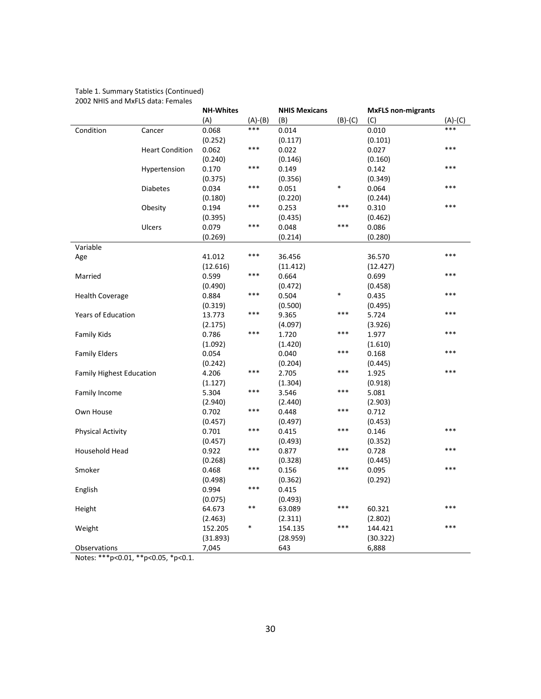#### Table 1. Summary Statistics (Continued) 2002 NHIS and MxFLS data: Females

| (A)<br>$(A)-(B)$<br>(B)<br>$(B)-(C)$<br>$(A)-(C)$<br>(C)<br>***<br>***<br>0.010<br>Condition<br>0.068<br>0.014<br>Cancer<br>(0.252)<br>(0.117)<br>(0.101)<br>***<br>***<br><b>Heart Condition</b><br>0.062<br>0.022<br>0.027<br>(0.240)<br>(0.146)<br>(0.160)<br>***<br>***<br>Hypertension<br>0.170<br>0.149<br>0.142<br>(0.375)<br>(0.356)<br>(0.349)<br>***<br>*<br>***<br><b>Diabetes</b><br>0.034<br>0.051<br>0.064<br>(0.180)<br>(0.220)<br>(0.244)<br>***<br>***<br>***<br>0.194<br>0.253<br>0.310<br>Obesity<br>(0.395)<br>(0.435)<br>(0.462)<br>***<br>***<br>Ulcers<br>0.079<br>0.048<br>0.086<br>(0.269)<br>(0.214)<br>(0.280)<br>Variable<br>***<br>***<br>41.012<br>Age<br>36.456<br>36.570<br>(12.616)<br>(11.412)<br>(12.427)<br>***<br>***<br>0.599<br>0.664<br>Married<br>0.699<br>(0.490)<br>(0.472)<br>(0.458)<br>$\ast$<br>***<br>***<br>0.435<br><b>Health Coverage</b><br>0.884<br>0.504<br>(0.500)<br>(0.495)<br>(0.319)<br>***<br>***<br>***<br><b>Years of Education</b><br>13.773<br>9.365<br>5.724<br>(3.926)<br>(2.175)<br>(4.097)<br>***<br>***<br>***<br>0.786<br>1.720<br>1.977<br><b>Family Kids</b><br>(1.610)<br>(1.092)<br>(1.420)<br>***<br>$* * *$<br>0.054<br><b>Family Elders</b><br>0.040<br>0.168<br>(0.242)<br>(0.204)<br>(0.445)<br>***<br>***<br>***<br><b>Family Highest Education</b><br>4.206<br>2.705<br>1.925<br>(1.304)<br>(0.918)<br>(1.127)<br>***<br>***<br>Family Income<br>5.304<br>3.546<br>5.081<br>(2.940)<br>(2.440)<br>(2.903) |
|--------------------------------------------------------------------------------------------------------------------------------------------------------------------------------------------------------------------------------------------------------------------------------------------------------------------------------------------------------------------------------------------------------------------------------------------------------------------------------------------------------------------------------------------------------------------------------------------------------------------------------------------------------------------------------------------------------------------------------------------------------------------------------------------------------------------------------------------------------------------------------------------------------------------------------------------------------------------------------------------------------------------------------------------------------------------------------------------------------------------------------------------------------------------------------------------------------------------------------------------------------------------------------------------------------------------------------------------------------------------------------------------------------------------------------------------------------------------------------------------|
|                                                                                                                                                                                                                                                                                                                                                                                                                                                                                                                                                                                                                                                                                                                                                                                                                                                                                                                                                                                                                                                                                                                                                                                                                                                                                                                                                                                                                                                                                            |
|                                                                                                                                                                                                                                                                                                                                                                                                                                                                                                                                                                                                                                                                                                                                                                                                                                                                                                                                                                                                                                                                                                                                                                                                                                                                                                                                                                                                                                                                                            |
|                                                                                                                                                                                                                                                                                                                                                                                                                                                                                                                                                                                                                                                                                                                                                                                                                                                                                                                                                                                                                                                                                                                                                                                                                                                                                                                                                                                                                                                                                            |
|                                                                                                                                                                                                                                                                                                                                                                                                                                                                                                                                                                                                                                                                                                                                                                                                                                                                                                                                                                                                                                                                                                                                                                                                                                                                                                                                                                                                                                                                                            |
|                                                                                                                                                                                                                                                                                                                                                                                                                                                                                                                                                                                                                                                                                                                                                                                                                                                                                                                                                                                                                                                                                                                                                                                                                                                                                                                                                                                                                                                                                            |
|                                                                                                                                                                                                                                                                                                                                                                                                                                                                                                                                                                                                                                                                                                                                                                                                                                                                                                                                                                                                                                                                                                                                                                                                                                                                                                                                                                                                                                                                                            |
|                                                                                                                                                                                                                                                                                                                                                                                                                                                                                                                                                                                                                                                                                                                                                                                                                                                                                                                                                                                                                                                                                                                                                                                                                                                                                                                                                                                                                                                                                            |
|                                                                                                                                                                                                                                                                                                                                                                                                                                                                                                                                                                                                                                                                                                                                                                                                                                                                                                                                                                                                                                                                                                                                                                                                                                                                                                                                                                                                                                                                                            |
|                                                                                                                                                                                                                                                                                                                                                                                                                                                                                                                                                                                                                                                                                                                                                                                                                                                                                                                                                                                                                                                                                                                                                                                                                                                                                                                                                                                                                                                                                            |
|                                                                                                                                                                                                                                                                                                                                                                                                                                                                                                                                                                                                                                                                                                                                                                                                                                                                                                                                                                                                                                                                                                                                                                                                                                                                                                                                                                                                                                                                                            |
|                                                                                                                                                                                                                                                                                                                                                                                                                                                                                                                                                                                                                                                                                                                                                                                                                                                                                                                                                                                                                                                                                                                                                                                                                                                                                                                                                                                                                                                                                            |
|                                                                                                                                                                                                                                                                                                                                                                                                                                                                                                                                                                                                                                                                                                                                                                                                                                                                                                                                                                                                                                                                                                                                                                                                                                                                                                                                                                                                                                                                                            |
|                                                                                                                                                                                                                                                                                                                                                                                                                                                                                                                                                                                                                                                                                                                                                                                                                                                                                                                                                                                                                                                                                                                                                                                                                                                                                                                                                                                                                                                                                            |
|                                                                                                                                                                                                                                                                                                                                                                                                                                                                                                                                                                                                                                                                                                                                                                                                                                                                                                                                                                                                                                                                                                                                                                                                                                                                                                                                                                                                                                                                                            |
|                                                                                                                                                                                                                                                                                                                                                                                                                                                                                                                                                                                                                                                                                                                                                                                                                                                                                                                                                                                                                                                                                                                                                                                                                                                                                                                                                                                                                                                                                            |
|                                                                                                                                                                                                                                                                                                                                                                                                                                                                                                                                                                                                                                                                                                                                                                                                                                                                                                                                                                                                                                                                                                                                                                                                                                                                                                                                                                                                                                                                                            |
|                                                                                                                                                                                                                                                                                                                                                                                                                                                                                                                                                                                                                                                                                                                                                                                                                                                                                                                                                                                                                                                                                                                                                                                                                                                                                                                                                                                                                                                                                            |
|                                                                                                                                                                                                                                                                                                                                                                                                                                                                                                                                                                                                                                                                                                                                                                                                                                                                                                                                                                                                                                                                                                                                                                                                                                                                                                                                                                                                                                                                                            |
|                                                                                                                                                                                                                                                                                                                                                                                                                                                                                                                                                                                                                                                                                                                                                                                                                                                                                                                                                                                                                                                                                                                                                                                                                                                                                                                                                                                                                                                                                            |
|                                                                                                                                                                                                                                                                                                                                                                                                                                                                                                                                                                                                                                                                                                                                                                                                                                                                                                                                                                                                                                                                                                                                                                                                                                                                                                                                                                                                                                                                                            |
|                                                                                                                                                                                                                                                                                                                                                                                                                                                                                                                                                                                                                                                                                                                                                                                                                                                                                                                                                                                                                                                                                                                                                                                                                                                                                                                                                                                                                                                                                            |
|                                                                                                                                                                                                                                                                                                                                                                                                                                                                                                                                                                                                                                                                                                                                                                                                                                                                                                                                                                                                                                                                                                                                                                                                                                                                                                                                                                                                                                                                                            |
|                                                                                                                                                                                                                                                                                                                                                                                                                                                                                                                                                                                                                                                                                                                                                                                                                                                                                                                                                                                                                                                                                                                                                                                                                                                                                                                                                                                                                                                                                            |
|                                                                                                                                                                                                                                                                                                                                                                                                                                                                                                                                                                                                                                                                                                                                                                                                                                                                                                                                                                                                                                                                                                                                                                                                                                                                                                                                                                                                                                                                                            |
|                                                                                                                                                                                                                                                                                                                                                                                                                                                                                                                                                                                                                                                                                                                                                                                                                                                                                                                                                                                                                                                                                                                                                                                                                                                                                                                                                                                                                                                                                            |
|                                                                                                                                                                                                                                                                                                                                                                                                                                                                                                                                                                                                                                                                                                                                                                                                                                                                                                                                                                                                                                                                                                                                                                                                                                                                                                                                                                                                                                                                                            |
|                                                                                                                                                                                                                                                                                                                                                                                                                                                                                                                                                                                                                                                                                                                                                                                                                                                                                                                                                                                                                                                                                                                                                                                                                                                                                                                                                                                                                                                                                            |
|                                                                                                                                                                                                                                                                                                                                                                                                                                                                                                                                                                                                                                                                                                                                                                                                                                                                                                                                                                                                                                                                                                                                                                                                                                                                                                                                                                                                                                                                                            |
|                                                                                                                                                                                                                                                                                                                                                                                                                                                                                                                                                                                                                                                                                                                                                                                                                                                                                                                                                                                                                                                                                                                                                                                                                                                                                                                                                                                                                                                                                            |
|                                                                                                                                                                                                                                                                                                                                                                                                                                                                                                                                                                                                                                                                                                                                                                                                                                                                                                                                                                                                                                                                                                                                                                                                                                                                                                                                                                                                                                                                                            |
| ***<br>***<br>Own House<br>0.702<br>0.712<br>0.448                                                                                                                                                                                                                                                                                                                                                                                                                                                                                                                                                                                                                                                                                                                                                                                                                                                                                                                                                                                                                                                                                                                                                                                                                                                                                                                                                                                                                                         |
| (0.457)<br>(0.497)<br>(0.453)                                                                                                                                                                                                                                                                                                                                                                                                                                                                                                                                                                                                                                                                                                                                                                                                                                                                                                                                                                                                                                                                                                                                                                                                                                                                                                                                                                                                                                                              |
| ***<br>***<br>***<br>0.701<br>0.415<br>0.146<br><b>Physical Activity</b>                                                                                                                                                                                                                                                                                                                                                                                                                                                                                                                                                                                                                                                                                                                                                                                                                                                                                                                                                                                                                                                                                                                                                                                                                                                                                                                                                                                                                   |
| (0.493)<br>(0.457)<br>(0.352)                                                                                                                                                                                                                                                                                                                                                                                                                                                                                                                                                                                                                                                                                                                                                                                                                                                                                                                                                                                                                                                                                                                                                                                                                                                                                                                                                                                                                                                              |
| ***<br>***<br>***<br>Household Head<br>0.877<br>0.728<br>0.922                                                                                                                                                                                                                                                                                                                                                                                                                                                                                                                                                                                                                                                                                                                                                                                                                                                                                                                                                                                                                                                                                                                                                                                                                                                                                                                                                                                                                             |
| (0.268)<br>(0.328)<br>(0.445)                                                                                                                                                                                                                                                                                                                                                                                                                                                                                                                                                                                                                                                                                                                                                                                                                                                                                                                                                                                                                                                                                                                                                                                                                                                                                                                                                                                                                                                              |
| ***<br>***<br>***<br>Smoker<br>0.156<br>0.095<br>0.468                                                                                                                                                                                                                                                                                                                                                                                                                                                                                                                                                                                                                                                                                                                                                                                                                                                                                                                                                                                                                                                                                                                                                                                                                                                                                                                                                                                                                                     |
| (0.362)<br>(0.292)<br>(0.498)                                                                                                                                                                                                                                                                                                                                                                                                                                                                                                                                                                                                                                                                                                                                                                                                                                                                                                                                                                                                                                                                                                                                                                                                                                                                                                                                                                                                                                                              |
| ***<br>0.994<br>English<br>0.415                                                                                                                                                                                                                                                                                                                                                                                                                                                                                                                                                                                                                                                                                                                                                                                                                                                                                                                                                                                                                                                                                                                                                                                                                                                                                                                                                                                                                                                           |
| (0.075)<br>(0.493)                                                                                                                                                                                                                                                                                                                                                                                                                                                                                                                                                                                                                                                                                                                                                                                                                                                                                                                                                                                                                                                                                                                                                                                                                                                                                                                                                                                                                                                                         |
| **<br>***<br>***<br>64.673<br>63.089<br>60.321<br>Height                                                                                                                                                                                                                                                                                                                                                                                                                                                                                                                                                                                                                                                                                                                                                                                                                                                                                                                                                                                                                                                                                                                                                                                                                                                                                                                                                                                                                                   |
| (2.802)<br>(2.463)<br>(2.311)                                                                                                                                                                                                                                                                                                                                                                                                                                                                                                                                                                                                                                                                                                                                                                                                                                                                                                                                                                                                                                                                                                                                                                                                                                                                                                                                                                                                                                                              |
| ***<br>$* * *$<br>*<br>144.421<br>Weight<br>152.205<br>154.135                                                                                                                                                                                                                                                                                                                                                                                                                                                                                                                                                                                                                                                                                                                                                                                                                                                                                                                                                                                                                                                                                                                                                                                                                                                                                                                                                                                                                             |
| (31.893)<br>(28.959)<br>(30.322)                                                                                                                                                                                                                                                                                                                                                                                                                                                                                                                                                                                                                                                                                                                                                                                                                                                                                                                                                                                                                                                                                                                                                                                                                                                                                                                                                                                                                                                           |
| 643<br>6,888<br>Observations<br>7,045                                                                                                                                                                                                                                                                                                                                                                                                                                                                                                                                                                                                                                                                                                                                                                                                                                                                                                                                                                                                                                                                                                                                                                                                                                                                                                                                                                                                                                                      |

Notes: \*\*\*p<0.01, \*\*p<0.05, \*p<0.1.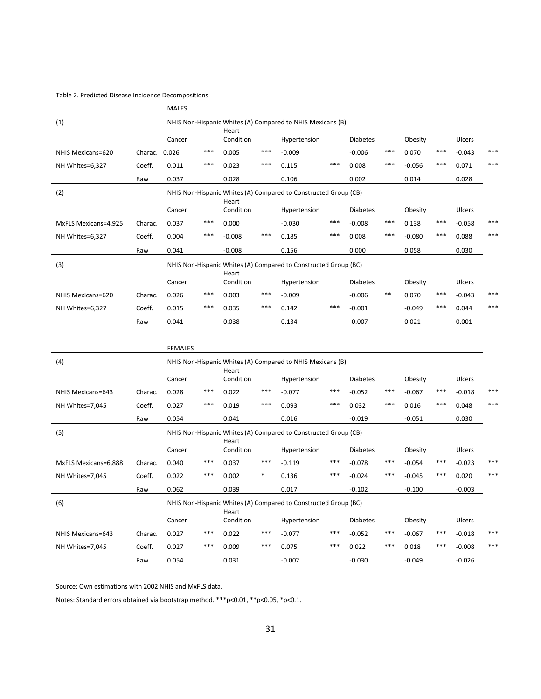#### Table 2. Predicted Disease Incidence Decompositions

|                      |         | <b>MALES</b>   |       |                    |       |                                                                 |       |                 |       |          |       |          |     |
|----------------------|---------|----------------|-------|--------------------|-------|-----------------------------------------------------------------|-------|-----------------|-------|----------|-------|----------|-----|
| (1)                  |         |                |       |                    |       | NHIS Non-Hispanic Whites (A) Compared to NHIS Mexicans (B)      |       |                 |       |          |       |          |     |
|                      |         | Cancer         |       | Heart<br>Condition |       | Hypertension                                                    |       | <b>Diabetes</b> |       | Obesity  |       | Ulcers   |     |
| NHIS Mexicans=620    | Charac. | 0.026          | ***   | 0.005              | ***   | $-0.009$                                                        |       | $-0.006$        | $***$ | 0.070    | ***   | $-0.043$ | *** |
| NH Whites=6,327      | Coeff.  | 0.011          | ***   | 0.023              | $***$ | 0.115                                                           | $***$ | 0.008           | $***$ | $-0.056$ | $***$ | 0.071    | *** |
|                      | Raw     | 0.037          |       | 0.028              |       | 0.106                                                           |       | 0.002           |       | 0.014    |       | 0.028    |     |
| (2)                  |         |                |       |                    |       | NHIS Non-Hispanic Whites (A) Compared to Constructed Group (CB) |       |                 |       |          |       |          |     |
|                      |         | Cancer         |       | Heart<br>Condition |       | Hypertension                                                    |       | <b>Diabetes</b> |       | Obesity  |       | Ulcers   |     |
| MxFLS Mexicans=4,925 | Charac. | 0.037          | $***$ | 0.000              |       | $-0.030$                                                        | $***$ | $-0.008$        | $***$ | 0.138    | ***   | $-0.058$ | *** |
| NH Whites=6,327      | Coeff.  | 0.004          | ***   | $-0.008$           | ***   | 0.185                                                           | $***$ | 0.008           | ***   | $-0.080$ | ***   | 0.088    | *** |
|                      | Raw     | 0.041          |       | $-0.008$           |       | 0.156                                                           |       | 0.000           |       | 0.058    |       | 0.030    |     |
| (3)                  |         |                |       | Heart              |       | NHIS Non-Hispanic Whites (A) Compared to Constructed Group (BC) |       |                 |       |          |       |          |     |
|                      |         | Cancer         |       | Condition          |       | Hypertension                                                    |       | <b>Diabetes</b> |       | Obesity  |       | Ulcers   |     |
| NHIS Mexicans=620    | Charac. | 0.026          | ***   | 0.003              | ***   | $-0.009$                                                        |       | $-0.006$        | $***$ | 0.070    | ***   | $-0.043$ | *** |
| NH Whites=6,327      | Coeff.  | 0.015          | ***   | 0.035              | ***   | 0.142                                                           | ***   | $-0.001$        |       | $-0.049$ | ***   | 0.044    | *** |
|                      | Raw     | 0.041          |       | 0.038              |       | 0.134                                                           |       | $-0.007$        |       | 0.021    |       | 0.001    |     |
|                      |         |                |       |                    |       |                                                                 |       |                 |       |          |       |          |     |
|                      |         | <b>FEMALES</b> |       |                    |       |                                                                 |       |                 |       |          |       |          |     |
| (4)                  |         |                |       | Heart              |       | NHIS Non-Hispanic Whites (A) Compared to NHIS Mexicans (B)      |       |                 |       |          |       |          |     |
|                      |         | Cancer         |       | Condition          |       | Hypertension                                                    |       | <b>Diabetes</b> |       | Obesity  |       | Ulcers   |     |
| NHIS Mexicans=643    | Charac. | 0.028          | ***   | 0.022              | ***   | $-0.077$                                                        | ***   | $-0.052$        | $***$ | $-0.067$ | ***   | $-0.018$ | *** |
| NH Whites=7,045      | Coeff.  | 0.027          | ***   | 0.019              | ***   | 0.093                                                           | $***$ | 0.032           | ***   | 0.016    | ***   | 0.048    | *** |
|                      | Raw     | 0.054          |       | 0.041              |       | 0.016                                                           |       | $-0.019$        |       | $-0.051$ |       | 0.030    |     |
| (5)                  |         |                |       | Heart              |       | NHIS Non-Hispanic Whites (A) Compared to Constructed Group (CB) |       |                 |       |          |       |          |     |
|                      |         | Cancer         |       | Condition          |       | Hypertension                                                    |       | <b>Diabetes</b> |       | Obesity  |       | Ulcers   |     |
| MxFLS Mexicans=6.888 | Charac. | 0.040          | ***   | 0.037              | ***   | $-0.119$                                                        | ***   | $-0.078$        | ***   | $-0.054$ | ***   | $-0.023$ | *** |

|                   | Raw     | 0.062                                                           |     | 0.039     |     | 0.017        |     | $-0.102$        |     | $-0.100$ |     | $-0.003$ |     |
|-------------------|---------|-----------------------------------------------------------------|-----|-----------|-----|--------------|-----|-----------------|-----|----------|-----|----------|-----|
| (6)               |         | NHIS Non-Hispanic Whites (A) Compared to Constructed Group (BC) |     |           |     |              |     |                 |     |          |     |          |     |
|                   |         |                                                                 |     | Heart     |     |              |     |                 |     |          |     |          |     |
|                   |         | Cancer                                                          |     | Condition |     | Hypertension |     | <b>Diabetes</b> |     | Obesity  |     | Ulcers   |     |
| NHIS Mexicans=643 | Charac. | 0.027                                                           | *** | 0.022     | *** | $-0.077$     | *** | $-0.052$        | *** | $-0.067$ | *** | $-0.018$ | *** |
| NH Whites=7,045   | Coeff.  | 0.027                                                           | *** | 0.009     | *** | 0.075        | *** | 0.022           | *** | 0.018    | *** | $-0.008$ | *** |
|                   | Raw     | 0.054                                                           |     | 0.031     |     | $-0.002$     |     | $-0.030$        |     | $-0.049$ |     | $-0.026$ |     |

NH Whites=7,045 Coeff. 0.022 \*\*\* 0.002 \* 0.136 \*\*\* -0.024 \*\*\* -0.045 \*\*\* 0.020 \*\*\*

Source: Own estimations with 2002 NHIS and MxFLS data.

Notes: Standard errors obtained via bootstrap method. \*\*\*p<0.01, \*\*p<0.05, \*p<0.1.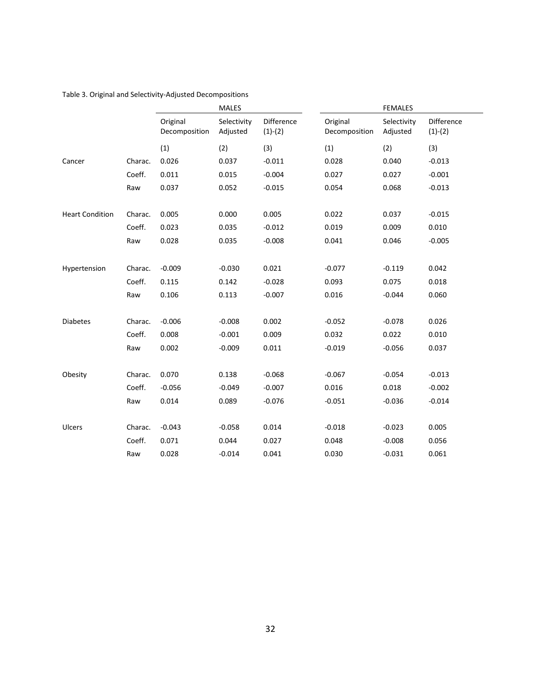#### Table 3. Original and Selectivity-Adjusted Decompositions

|                        |         |                           | <b>MALES</b>            |                         |                           | <b>FEMALES</b>          |                         |
|------------------------|---------|---------------------------|-------------------------|-------------------------|---------------------------|-------------------------|-------------------------|
|                        |         | Original<br>Decomposition | Selectivity<br>Adjusted | Difference<br>$(1)-(2)$ | Original<br>Decomposition | Selectivity<br>Adjusted | Difference<br>$(1)-(2)$ |
|                        |         | (1)                       | (2)                     | (3)                     | (1)                       | (2)                     | (3)                     |
| Cancer                 | Charac. | 0.026                     | 0.037                   | $-0.011$                | 0.028                     | 0.040                   | $-0.013$                |
|                        | Coeff.  | 0.011                     | 0.015                   | $-0.004$                | 0.027                     | 0.027                   | $-0.001$                |
|                        | Raw     | 0.037                     | 0.052                   | $-0.015$                | 0.054                     | 0.068                   | $-0.013$                |
| <b>Heart Condition</b> | Charac. | 0.005                     | 0.000                   | 0.005                   | 0.022                     | 0.037                   | $-0.015$                |
|                        | Coeff.  | 0.023                     | 0.035                   | $-0.012$                | 0.019                     | 0.009                   | 0.010                   |
|                        | Raw     | 0.028                     | 0.035                   | $-0.008$                | 0.041                     | 0.046                   | $-0.005$                |
| Hypertension           | Charac. | $-0.009$                  | $-0.030$                | 0.021                   | $-0.077$                  | $-0.119$                | 0.042                   |
|                        | Coeff.  | 0.115                     | 0.142                   | $-0.028$                | 0.093                     | 0.075                   | 0.018                   |
|                        | Raw     | 0.106                     | 0.113                   | $-0.007$                | 0.016                     | $-0.044$                | 0.060                   |
| <b>Diabetes</b>        | Charac. | $-0.006$                  | $-0.008$                | 0.002                   | $-0.052$                  | $-0.078$                | 0.026                   |
|                        | Coeff.  | 0.008                     | $-0.001$                | 0.009                   | 0.032                     | 0.022                   | 0.010                   |
|                        | Raw     | 0.002                     | $-0.009$                | 0.011                   | $-0.019$                  | $-0.056$                | 0.037                   |
| Obesity                | Charac. | 0.070                     | 0.138                   | $-0.068$                | $-0.067$                  | $-0.054$                | $-0.013$                |
|                        | Coeff.  | $-0.056$                  | $-0.049$                | $-0.007$                | 0.016                     | 0.018                   | $-0.002$                |
|                        | Raw     | 0.014                     | 0.089                   | $-0.076$                | $-0.051$                  | $-0.036$                | $-0.014$                |
| Ulcers                 | Charac. | $-0.043$                  | $-0.058$                | 0.014                   | $-0.018$                  | $-0.023$                | 0.005                   |
|                        | Coeff.  | 0.071                     | 0.044                   | 0.027                   | 0.048                     | $-0.008$                | 0.056                   |
|                        | Raw     | 0.028                     | $-0.014$                | 0.041                   | 0.030                     | $-0.031$                | 0.061                   |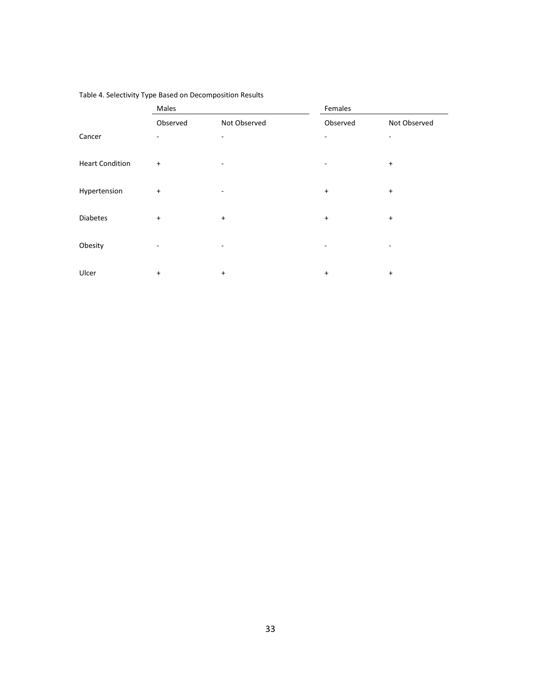|                        | Males     |              | Females                  |              |  |  |  |
|------------------------|-----------|--------------|--------------------------|--------------|--|--|--|
|                        | Observed  | Not Observed | Observed                 | Not Observed |  |  |  |
| Cancer                 | $\sim$    | ۰            | $\overline{\phantom{0}}$ | ۰            |  |  |  |
| <b>Heart Condition</b> | $\ddot{}$ |              |                          | $\ddot{}$    |  |  |  |
| Hypertension           | $\ddot{}$ | ۰            | $\ddot{}$                | $\ddot{}$    |  |  |  |
| <b>Diabetes</b>        | $\ddot{}$ | $\ddot{}$    | $\ddot{}$                | $\ddot{}$    |  |  |  |
| Obesity                |           | ۰            | ۰                        |              |  |  |  |
| Ulcer                  | $\ddot{}$ | $\ddot{}$    | $\ddot{}$                | $\ddot{}$    |  |  |  |

#### Table 4. Selectivity Type Based on Decomposition Results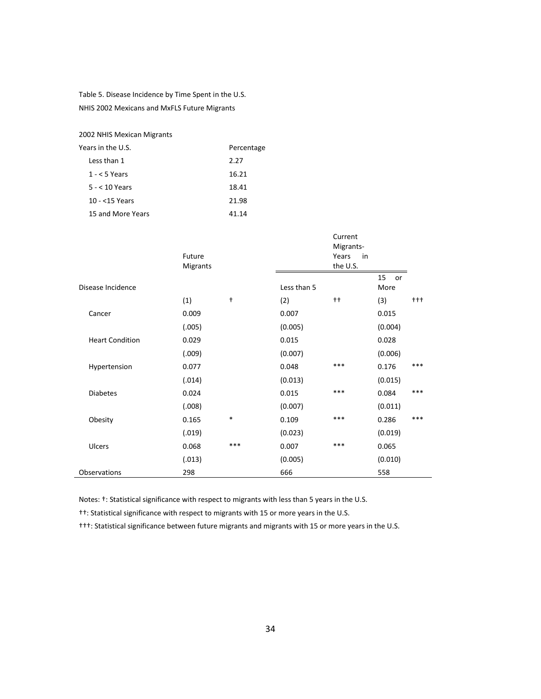Table 5. Disease Incidence by Time Spent in the U.S. NHIS 2002 Mexicans and MxFLS Future Migrants

2002 NHIS Mexican Migrants

| Years in the U.S. | Percentage |
|-------------------|------------|
| Less than 1       | 2.27       |
| $1 - 5$ Years     | 16.21      |
| $5 - 10$ Years    | 18.41      |
| 10 - <15 Years    | 21.98      |
| 15 and More Years | 41 14      |

|                        | Future<br>Migrants |            |             | Current<br>Migrants-<br>Years<br>in<br>the U.S. |                  |       |
|------------------------|--------------------|------------|-------------|-------------------------------------------------|------------------|-------|
| Disease Incidence      |                    |            | Less than 5 |                                                 | 15<br>or<br>More |       |
|                        | (1)                | $\ddagger$ | (2)         | $++$                                            | (3)              | $+++$ |
| Cancer                 | 0.009              |            | 0.007       |                                                 | 0.015            |       |
|                        | (.005)             |            | (0.005)     |                                                 | (0.004)          |       |
| <b>Heart Condition</b> | 0.029              |            | 0.015       |                                                 | 0.028            |       |
|                        | (.009)             |            | (0.007)     |                                                 | (0.006)          |       |
| Hypertension           | 0.077              |            | 0.048       | ***                                             | 0.176            | ***   |
|                        | (.014)             |            | (0.013)     |                                                 | (0.015)          |       |
| <b>Diabetes</b>        | 0.024              |            | 0.015       | ***                                             | 0.084            | ***   |
|                        | (.008)             |            | (0.007)     |                                                 | (0.011)          |       |
| Obesity                | 0.165              | $\ast$     | 0.109       | ***                                             | 0.286            | ***   |
|                        | (.019)             |            | (0.023)     |                                                 | (0.019)          |       |
| <b>Ulcers</b>          | 0.068              | ***        | 0.007       | ***                                             | 0.065            |       |
|                        | (.013)             |            | (0.005)     |                                                 | (0.010)          |       |
| Observations           | 298                |            | 666         |                                                 | 558              |       |

Notes: †: Statistical significance with respect to migrants with less than 5 years in the U.S.

††: Statistical significance with respect to migrants with 15 or more years in the U.S.

†††: Statistical significance between future migrants and migrants with 15 or more years in the U.S.